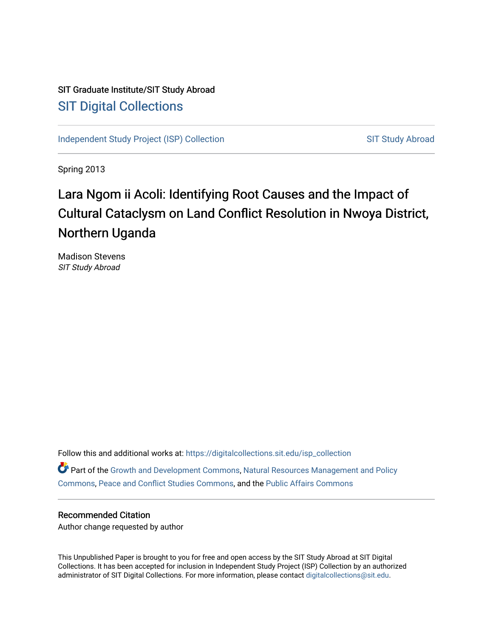# SIT Graduate Institute/SIT Study Abroad [SIT Digital Collections](https://digitalcollections.sit.edu/)

[Independent Study Project \(ISP\) Collection](https://digitalcollections.sit.edu/isp_collection) SIT Study Abroad

Spring 2013

# Lara Ngom ii Acoli: Identifying Root Causes and the Impact of Cultural Cataclysm on Land Conflict Resolution in Nwoya District, Northern Uganda

Madison Stevens SIT Study Abroad

Follow this and additional works at: [https://digitalcollections.sit.edu/isp\\_collection](https://digitalcollections.sit.edu/isp_collection?utm_source=digitalcollections.sit.edu%2Fisp_collection%2F1528&utm_medium=PDF&utm_campaign=PDFCoverPages)  Part of the [Growth and Development Commons,](http://network.bepress.com/hgg/discipline/346?utm_source=digitalcollections.sit.edu%2Fisp_collection%2F1528&utm_medium=PDF&utm_campaign=PDFCoverPages) [Natural Resources Management and Policy](http://network.bepress.com/hgg/discipline/170?utm_source=digitalcollections.sit.edu%2Fisp_collection%2F1528&utm_medium=PDF&utm_campaign=PDFCoverPages)  [Commons](http://network.bepress.com/hgg/discipline/170?utm_source=digitalcollections.sit.edu%2Fisp_collection%2F1528&utm_medium=PDF&utm_campaign=PDFCoverPages), [Peace and Conflict Studies Commons](http://network.bepress.com/hgg/discipline/397?utm_source=digitalcollections.sit.edu%2Fisp_collection%2F1528&utm_medium=PDF&utm_campaign=PDFCoverPages), and the [Public Affairs Commons](http://network.bepress.com/hgg/discipline/399?utm_source=digitalcollections.sit.edu%2Fisp_collection%2F1528&utm_medium=PDF&utm_campaign=PDFCoverPages) 

#### Recommended Citation

Author change requested by author

This Unpublished Paper is brought to you for free and open access by the SIT Study Abroad at SIT Digital Collections. It has been accepted for inclusion in Independent Study Project (ISP) Collection by an authorized administrator of SIT Digital Collections. For more information, please contact [digitalcollections@sit.edu](mailto:digitalcollections@sit.edu).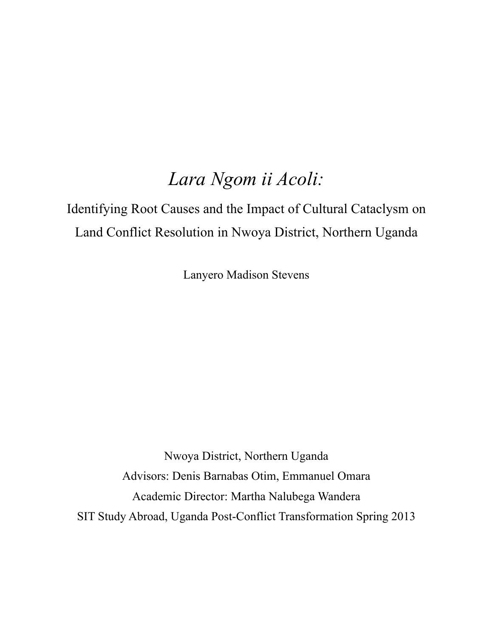# *Lara Ngom ii Acoli:*

Identifying Root Causes and the Impact of Cultural Cataclysm on Land Conflict Resolution in Nwoya District, Northern Uganda

Lanyero Madison Stevens

Nwoya District, Northern Uganda Advisors: Denis Barnabas Otim, Emmanuel Omara Academic Director: Martha Nalubega Wandera SIT Study Abroad, Uganda Post-Conflict Transformation Spring 2013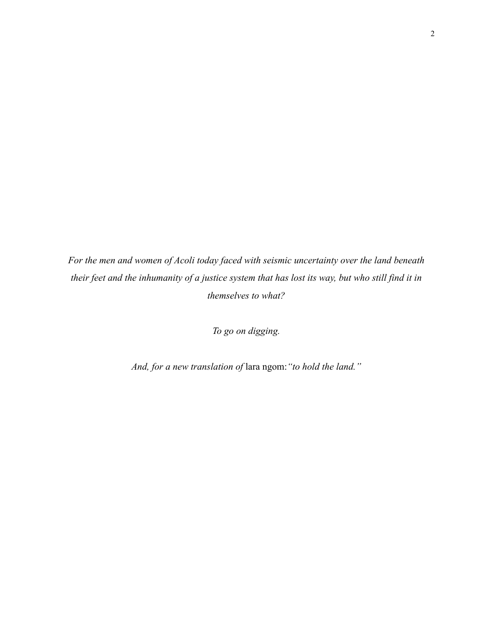*For the men and women of Acoli today faced with seismic uncertainty over the land beneath their feet and the inhumanity of a justice system that has lost its way, but who still find it in themselves to what?* 

*To go on digging.*

*And, for a new translation of* lara ngom:*"to hold the land."*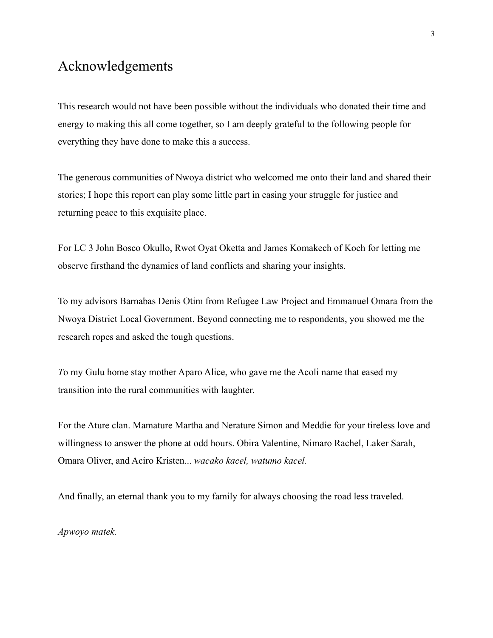# Acknowledgements

This research would not have been possible without the individuals who donated their time and energy to making this all come together, so I am deeply grateful to the following people for everything they have done to make this a success.

The generous communities of Nwoya district who welcomed me onto their land and shared their stories; I hope this report can play some little part in easing your struggle for justice and returning peace to this exquisite place.

For LC 3 John Bosco Okullo, Rwot Oyat Oketta and James Komakech of Koch for letting me observe firsthand the dynamics of land conflicts and sharing your insights.

To my advisors Barnabas Denis Otim from Refugee Law Project and Emmanuel Omara from the Nwoya District Local Government. Beyond connecting me to respondents, you showed me the research ropes and asked the tough questions.

*T*o my Gulu home stay mother Aparo Alice, who gave me the Acoli name that eased my transition into the rural communities with laughter.

For the Ature clan. Mamature Martha and Nerature Simon and Meddie for your tireless love and willingness to answer the phone at odd hours. Obira Valentine, Nimaro Rachel, Laker Sarah, Omara Oliver, and Aciro Kristen... *wacako kacel, watumo kacel.* 

And finally, an eternal thank you to my family for always choosing the road less traveled.

*Apwoyo matek.*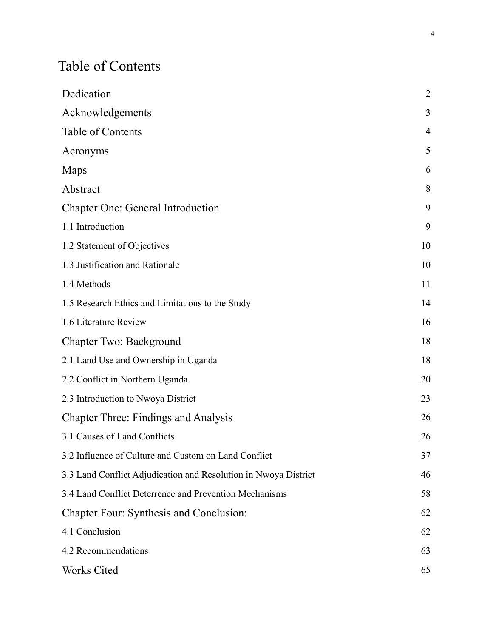# Table of Contents

| Dedication                                                      | $\overline{2}$ |
|-----------------------------------------------------------------|----------------|
| Acknowledgements                                                | 3              |
| <b>Table of Contents</b>                                        | $\overline{4}$ |
| Acronyms                                                        | 5              |
| Maps                                                            | 6              |
| Abstract                                                        | 8              |
| <b>Chapter One: General Introduction</b>                        | 9              |
| 1.1 Introduction                                                | 9              |
| 1.2 Statement of Objectives                                     | 10             |
| 1.3 Justification and Rationale                                 | 10             |
| 1.4 Methods                                                     | 11             |
| 1.5 Research Ethics and Limitations to the Study                | 14             |
| 1.6 Literature Review                                           | 16             |
| Chapter Two: Background                                         | 18             |
| 2.1 Land Use and Ownership in Uganda                            | 18             |
| 2.2 Conflict in Northern Uganda                                 | 20             |
| 2.3 Introduction to Nwoya District                              | 23             |
| <b>Chapter Three: Findings and Analysis</b>                     | 26             |
| 3.1 Causes of Land Conflicts                                    | 26             |
| 3.2 Influence of Culture and Custom on Land Conflict            | 37             |
| 3.3 Land Conflict Adjudication and Resolution in Nwoya District | 46             |
| 3.4 Land Conflict Deterrence and Prevention Mechanisms          | 58             |
| <b>Chapter Four: Synthesis and Conclusion:</b>                  | 62             |
| 4.1 Conclusion                                                  | 62             |
| 4.2 Recommendations                                             | 63             |
| Works Cited                                                     | 65             |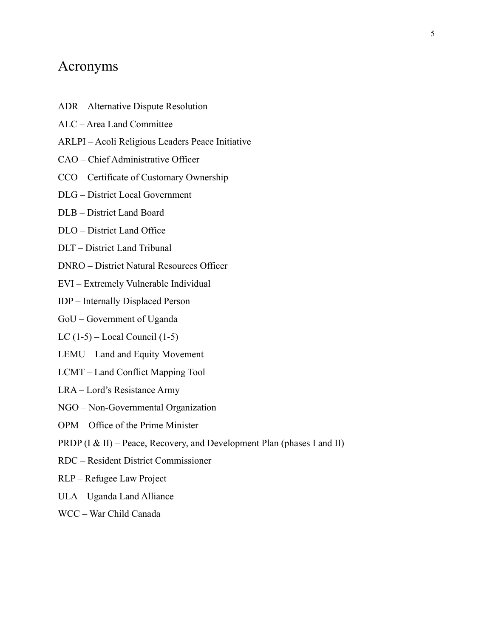## Acronyms

- ADR Alternative Dispute Resolution
- ALC Area Land Committee
- ARLPI Acoli Religious Leaders Peace Initiative
- CAO Chief Administrative Officer
- CCO Certificate of Customary Ownership
- DLG District Local Government
- DLB District Land Board
- DLO District Land Office
- DLT District Land Tribunal
- DNRO District Natural Resources Officer
- EVI Extremely Vulnerable Individual
- IDP Internally Displaced Person
- GoU Government of Uganda
- LC (1-5) Local Council (1-5)
- LEMU Land and Equity Movement
- LCMT Land Conflict Mapping Tool
- LRA Lord's Resistance Army
- NGO Non-Governmental Organization
- OPM Office of the Prime Minister
- PRDP (I & II) Peace, Recovery, and Development Plan (phases I and II)
- RDC Resident District Commissioner
- RLP Refugee Law Project
- ULA Uganda Land Alliance
- WCC War Child Canada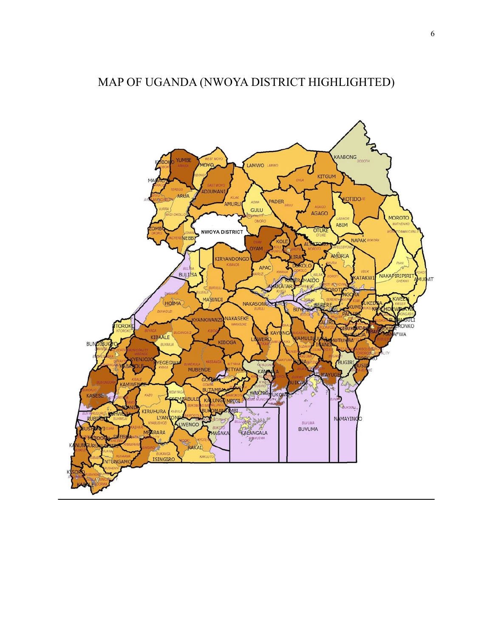# MAP OF UGANDA (NWOYA DISTRICT HIGHLIGHTED)

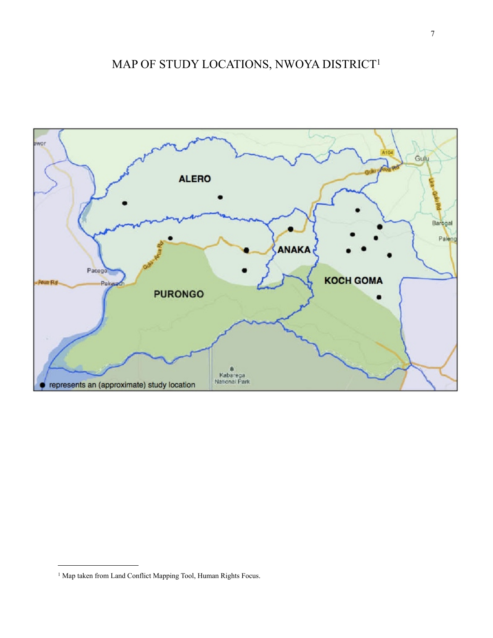# MAP OF STUDY LOCATIONS, NWOYA DISTRICT[1](#page-7-0)



<span id="page-7-0"></span><sup>&</sup>lt;sup>1</sup> Map taken from Land Conflict Mapping Tool, Human Rights Focus.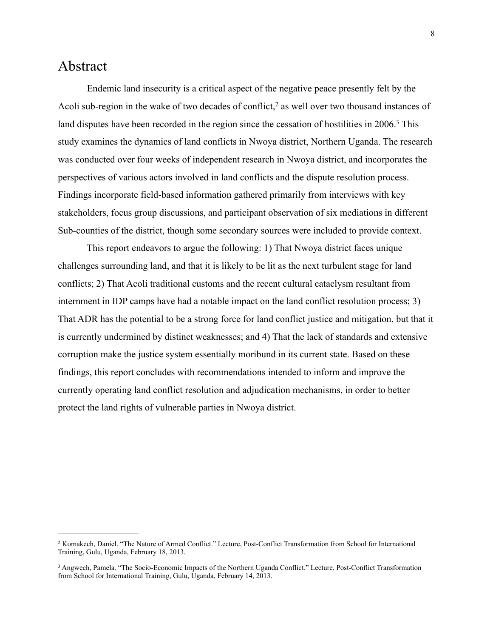## Abstract

 Endemic land insecurity is a critical aspect of the negative peace presently felt by the Acoli sub-region in the wake of two decades of conflict,<sup>2</sup> as well over two thousand instances of land disputes have been recorded in the region since the cessation of hostilities in 2006.<sup>3</sup> This study examines the dynamics of land conflicts in Nwoya district, Northern Uganda. The research was conducted over four weeks of independent research in Nwoya district, and incorporates the perspectives of various actors involved in land conflicts and the dispute resolution process. Findings incorporate field-based information gathered primarily from interviews with key stakeholders, focus group discussions, and participant observation of six mediations in different Sub-counties of the district, though some secondary sources were included to provide context.

 This report endeavors to argue the following: 1) That Nwoya district faces unique challenges surrounding land, and that it is likely to be lit as the next turbulent stage for land conflicts; 2) That Acoli traditional customs and the recent cultural cataclysm resultant from internment in IDP camps have had a notable impact on the land conflict resolution process; 3) That ADR has the potential to be a strong force for land conflict justice and mitigation, but that it is currently undermined by distinct weaknesses; and 4) That the lack of standards and extensive corruption make the justice system essentially moribund in its current state. Based on these findings, this report concludes with recommendations intended to inform and improve the currently operating land conflict resolution and adjudication mechanisms, in order to better protect the land rights of vulnerable parties in Nwoya district.

<span id="page-8-0"></span><sup>2</sup> Komakech, Daniel. "The Nature of Armed Conflict." Lecture, Post-Conflict Transformation from School for International Training, Gulu, Uganda, February 18, 2013.

<span id="page-8-1"></span><sup>3</sup> Angwech, Pamela. "The Socio-Economic Impacts of the Northern Uganda Conflict." Lecture, Post-Conflict Transformation from School for International Training, Gulu, Uganda, February 14, 2013.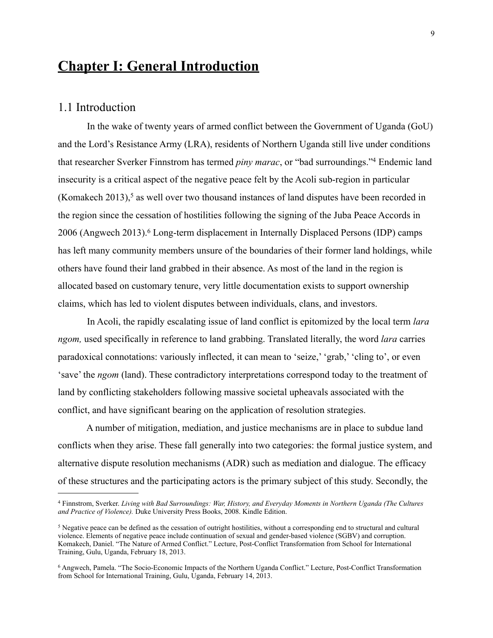# **Chapter I: General Introduction**

#### 1.1 Introduction

 In the wake of twenty years of armed conflict between the Government of Uganda (GoU) and the Lord's Resistance Army (LRA), residents of Northern Uganda still live under conditions that researcher Sverker Finnstrom has termed *piny marac*, or "bad surroundings.["4](#page-9-0) Endemic land insecurity is a critical aspect of the negative peace felt by the Acoli sub-region in particular (Komakech 2013),<sup>5</sup> as well over two thousand instances of land disputes have been recorded in the region since the cessation of hostilities following the signing of the Juba Peace Accords in 2006 (Angwech 2013).[6](#page-9-2) Long-term displacement in Internally Displaced Persons (IDP) camps has left many community members unsure of the boundaries of their former land holdings, while others have found their land grabbed in their absence. As most of the land in the region is allocated based on customary tenure, very little documentation exists to support ownership claims, which has led to violent disputes between individuals, clans, and investors.

 In Acoli, the rapidly escalating issue of land conflict is epitomized by the local term *lara ngom,* used specifically in reference to land grabbing. Translated literally, the word *lara* carries paradoxical connotations: variously inflected, it can mean to 'seize,' 'grab,' 'cling to', or even 'save' the *ngom* (land). These contradictory interpretations correspond today to the treatment of land by conflicting stakeholders following massive societal upheavals associated with the conflict, and have significant bearing on the application of resolution strategies.

 A number of mitigation, mediation, and justice mechanisms are in place to subdue land conflicts when they arise. These fall generally into two categories: the formal justice system, and alternative dispute resolution mechanisms (ADR) such as mediation and dialogue. The efficacy of these structures and the participating actors is the primary subject of this study. Secondly, the

<span id="page-9-0"></span><sup>4</sup> Finnstrom, Sverker. *Living with Bad Surroundings: War, History, and Everyday Moments in Northern Uganda (The Cultures and Practice of Violence).* Duke University Press Books, 2008. Kindle Edition.

<span id="page-9-1"></span><sup>5</sup> Negative peace can be defined as the cessation of outright hostilities, without a corresponding end to structural and cultural violence. Elements of negative peace include continuation of sexual and gender-based violence (SGBV) and corruption. Komakech, Daniel. "The Nature of Armed Conflict." Lecture, Post-Conflict Transformation from School for International Training, Gulu, Uganda, February 18, 2013.

<span id="page-9-2"></span><sup>6</sup> Angwech, Pamela. "The Socio-Economic Impacts of the Northern Uganda Conflict." Lecture, Post-Conflict Transformation from School for International Training, Gulu, Uganda, February 14, 2013.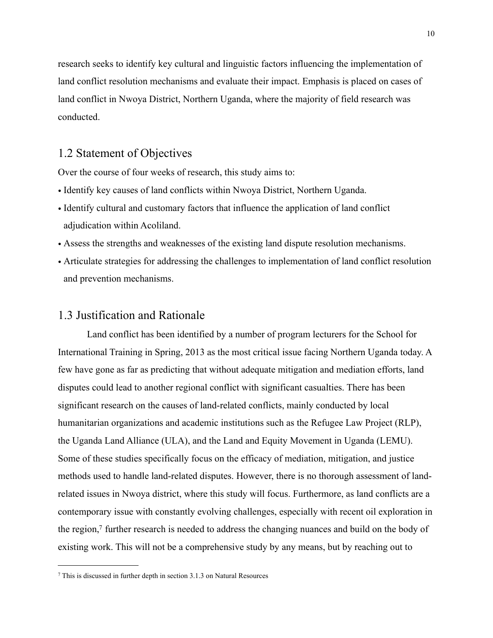research seeks to identify key cultural and linguistic factors influencing the implementation of land conflict resolution mechanisms and evaluate their impact. Emphasis is placed on cases of land conflict in Nwoya District, Northern Uganda, where the majority of field research was conducted.

### 1.2 Statement of Objectives

Over the course of four weeks of research, this study aims to:

- Identify key causes of land conflicts within Nwoya District, Northern Uganda.
- Identify cultural and customary factors that influence the application of land conflict adjudication within Acoliland.
- Assess the strengths and weaknesses of the existing land dispute resolution mechanisms.
- Articulate strategies for addressing the challenges to implementation of land conflict resolution and prevention mechanisms.

#### 1.3 Justification and Rationale

 Land conflict has been identified by a number of program lecturers for the School for International Training in Spring, 2013 as the most critical issue facing Northern Uganda today. A few have gone as far as predicting that without adequate mitigation and mediation efforts, land disputes could lead to another regional conflict with significant casualties. There has been significant research on the causes of land-related conflicts, mainly conducted by local humanitarian organizations and academic institutions such as the Refugee Law Project (RLP), the Uganda Land Alliance (ULA), and the Land and Equity Movement in Uganda (LEMU). Some of these studies specifically focus on the efficacy of mediation, mitigation, and justice methods used to handle land-related disputes. However, there is no thorough assessment of landrelated issues in Nwoya district, where this study will focus. Furthermore, as land conflicts are a contemporary issue with constantly evolving challenges, especially with recent oil exploration in the region, $\tau$  further research is needed to address the changing nuances and build on the body of existing work. This will not be a comprehensive study by any means, but by reaching out to

<span id="page-10-0"></span><sup>7</sup> This is discussed in further depth in section 3.1.3 on Natural Resources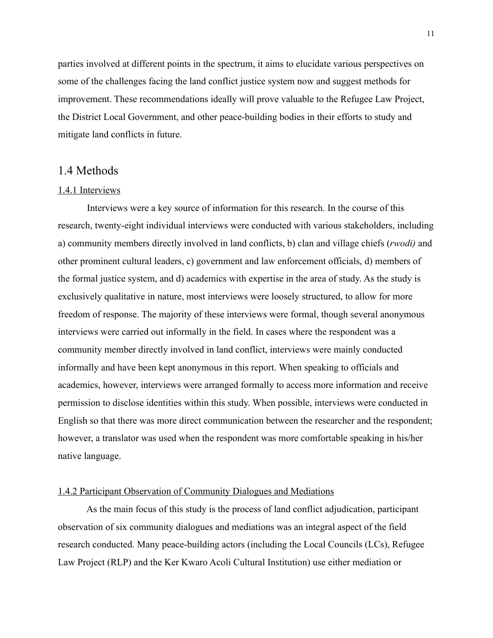parties involved at different points in the spectrum, it aims to elucidate various perspectives on some of the challenges facing the land conflict justice system now and suggest methods for improvement. These recommendations ideally will prove valuable to the Refugee Law Project, the District Local Government, and other peace-building bodies in their efforts to study and mitigate land conflicts in future.

#### 1.4 Methods

#### 1.4.1 Interviews

 Interviews were a key source of information for this research. In the course of this research, twenty-eight individual interviews were conducted with various stakeholders, including a) community members directly involved in land conflicts, b) clan and village chiefs (*rwodi)* and other prominent cultural leaders, c) government and law enforcement officials, d) members of the formal justice system, and d) academics with expertise in the area of study. As the study is exclusively qualitative in nature, most interviews were loosely structured, to allow for more freedom of response. The majority of these interviews were formal, though several anonymous interviews were carried out informally in the field. In cases where the respondent was a community member directly involved in land conflict, interviews were mainly conducted informally and have been kept anonymous in this report. When speaking to officials and academics, however, interviews were arranged formally to access more information and receive permission to disclose identities within this study. When possible, interviews were conducted in English so that there was more direct communication between the researcher and the respondent; however, a translator was used when the respondent was more comfortable speaking in his/her native language.

#### 1.4.2 Participant Observation of Community Dialogues and Mediations

 As the main focus of this study is the process of land conflict adjudication, participant observation of six community dialogues and mediations was an integral aspect of the field research conducted. Many peace-building actors (including the Local Councils (LCs), Refugee Law Project (RLP) and the Ker Kwaro Acoli Cultural Institution) use either mediation or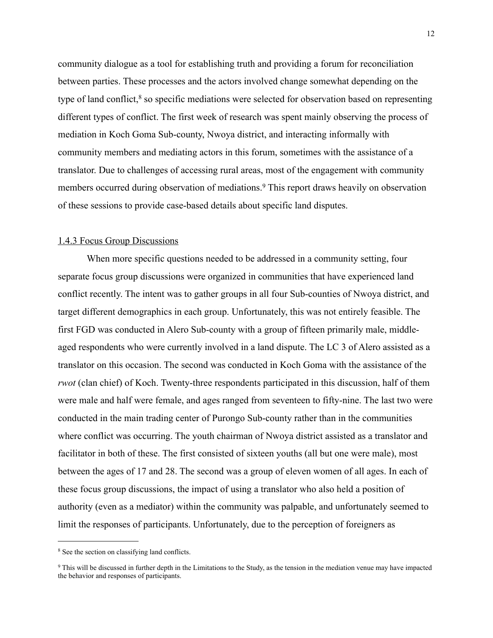community dialogue as a tool for establishing truth and providing a forum for reconciliation between parties. These processes and the actors involved change somewhat depending on the type of land conflict, $8$  so specific mediations were selected for observation based on representing different types of conflict. The first week of research was spent mainly observing the process of mediation in Koch Goma Sub-county, Nwoya district, and interacting informally with community members and mediating actors in this forum, sometimes with the assistance of a translator. Due to challenges of accessing rural areas, most of the engagement with community members occurred during observation of mediations.<sup>9</sup> This report draws heavily on observation of these sessions to provide case-based details about specific land disputes.

#### 1.4.3 Focus Group Discussions

 When more specific questions needed to be addressed in a community setting, four separate focus group discussions were organized in communities that have experienced land conflict recently. The intent was to gather groups in all four Sub-counties of Nwoya district, and target different demographics in each group. Unfortunately, this was not entirely feasible. The first FGD was conducted in Alero Sub-county with a group of fifteen primarily male, middleaged respondents who were currently involved in a land dispute. The LC 3 of Alero assisted as a translator on this occasion. The second was conducted in Koch Goma with the assistance of the *rwot* (clan chief) of Koch. Twenty-three respondents participated in this discussion, half of them were male and half were female, and ages ranged from seventeen to fifty-nine. The last two were conducted in the main trading center of Purongo Sub-county rather than in the communities where conflict was occurring. The youth chairman of Nwoya district assisted as a translator and facilitator in both of these. The first consisted of sixteen youths (all but one were male), most between the ages of 17 and 28. The second was a group of eleven women of all ages. In each of these focus group discussions, the impact of using a translator who also held a position of authority (even as a mediator) within the community was palpable, and unfortunately seemed to limit the responses of participants. Unfortunately, due to the perception of foreigners as

<span id="page-12-0"></span><sup>8</sup> See the section on classifying land conflicts.

<span id="page-12-1"></span><sup>9</sup> This will be discussed in further depth in the Limitations to the Study, as the tension in the mediation venue may have impacted the behavior and responses of participants.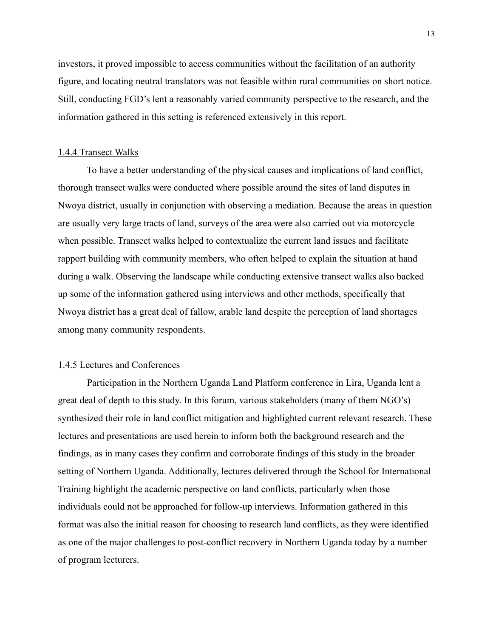investors, it proved impossible to access communities without the facilitation of an authority figure, and locating neutral translators was not feasible within rural communities on short notice. Still, conducting FGD's lent a reasonably varied community perspective to the research, and the information gathered in this setting is referenced extensively in this report.

#### 1.4.4 Transect Walks

 To have a better understanding of the physical causes and implications of land conflict, thorough transect walks were conducted where possible around the sites of land disputes in Nwoya district, usually in conjunction with observing a mediation. Because the areas in question are usually very large tracts of land, surveys of the area were also carried out via motorcycle when possible. Transect walks helped to contextualize the current land issues and facilitate rapport building with community members, who often helped to explain the situation at hand during a walk. Observing the landscape while conducting extensive transect walks also backed up some of the information gathered using interviews and other methods, specifically that Nwoya district has a great deal of fallow, arable land despite the perception of land shortages among many community respondents.

#### 1.4.5 Lectures and Conferences

 Participation in the Northern Uganda Land Platform conference in Lira, Uganda lent a great deal of depth to this study. In this forum, various stakeholders (many of them NGO's) synthesized their role in land conflict mitigation and highlighted current relevant research. These lectures and presentations are used herein to inform both the background research and the findings, as in many cases they confirm and corroborate findings of this study in the broader setting of Northern Uganda. Additionally, lectures delivered through the School for International Training highlight the academic perspective on land conflicts, particularly when those individuals could not be approached for follow-up interviews. Information gathered in this format was also the initial reason for choosing to research land conflicts, as they were identified as one of the major challenges to post-conflict recovery in Northern Uganda today by a number of program lecturers.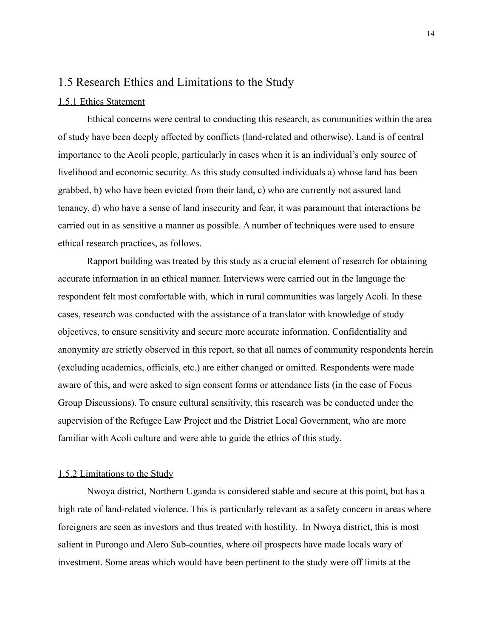### 1.5 Research Ethics and Limitations to the Study

#### 1.5.1 Ethics Statement

 Ethical concerns were central to conducting this research, as communities within the area of study have been deeply affected by conflicts (land-related and otherwise). Land is of central importance to the Acoli people, particularly in cases when it is an individual's only source of livelihood and economic security. As this study consulted individuals a) whose land has been grabbed, b) who have been evicted from their land, c) who are currently not assured land tenancy, d) who have a sense of land insecurity and fear, it was paramount that interactions be carried out in as sensitive a manner as possible. A number of techniques were used to ensure ethical research practices, as follows.

 Rapport building was treated by this study as a crucial element of research for obtaining accurate information in an ethical manner. Interviews were carried out in the language the respondent felt most comfortable with, which in rural communities was largely Acoli. In these cases, research was conducted with the assistance of a translator with knowledge of study objectives, to ensure sensitivity and secure more accurate information. Confidentiality and anonymity are strictly observed in this report, so that all names of community respondents herein (excluding academics, officials, etc.) are either changed or omitted. Respondents were made aware of this, and were asked to sign consent forms or attendance lists (in the case of Focus Group Discussions). To ensure cultural sensitivity, this research was be conducted under the supervision of the Refugee Law Project and the District Local Government, who are more familiar with Acoli culture and were able to guide the ethics of this study.

#### 1.5.2 Limitations to the Study

 Nwoya district, Northern Uganda is considered stable and secure at this point, but has a high rate of land-related violence. This is particularly relevant as a safety concern in areas where foreigners are seen as investors and thus treated with hostility. In Nwoya district, this is most salient in Purongo and Alero Sub-counties, where oil prospects have made locals wary of investment. Some areas which would have been pertinent to the study were off limits at the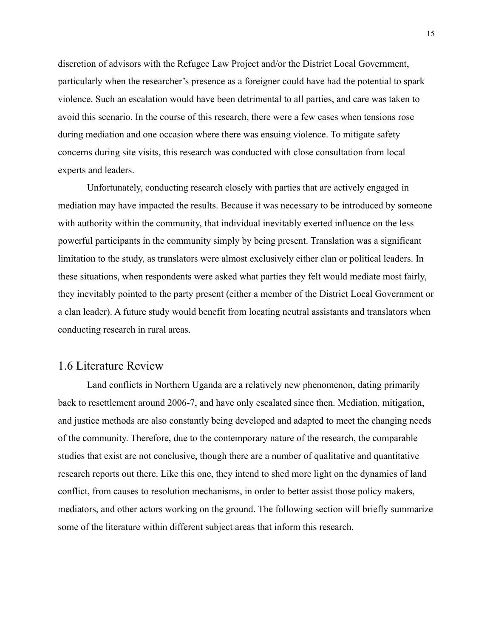discretion of advisors with the Refugee Law Project and/or the District Local Government, particularly when the researcher's presence as a foreigner could have had the potential to spark violence. Such an escalation would have been detrimental to all parties, and care was taken to avoid this scenario. In the course of this research, there were a few cases when tensions rose during mediation and one occasion where there was ensuing violence. To mitigate safety concerns during site visits, this research was conducted with close consultation from local experts and leaders.

 Unfortunately, conducting research closely with parties that are actively engaged in mediation may have impacted the results. Because it was necessary to be introduced by someone with authority within the community, that individual inevitably exerted influence on the less powerful participants in the community simply by being present. Translation was a significant limitation to the study, as translators were almost exclusively either clan or political leaders. In these situations, when respondents were asked what parties they felt would mediate most fairly, they inevitably pointed to the party present (either a member of the District Local Government or a clan leader). A future study would benefit from locating neutral assistants and translators when conducting research in rural areas.

### 1.6 Literature Review

 Land conflicts in Northern Uganda are a relatively new phenomenon, dating primarily back to resettlement around 2006-7, and have only escalated since then. Mediation, mitigation, and justice methods are also constantly being developed and adapted to meet the changing needs of the community. Therefore, due to the contemporary nature of the research, the comparable studies that exist are not conclusive, though there are a number of qualitative and quantitative research reports out there. Like this one, they intend to shed more light on the dynamics of land conflict, from causes to resolution mechanisms, in order to better assist those policy makers, mediators, and other actors working on the ground. The following section will briefly summarize some of the literature within different subject areas that inform this research.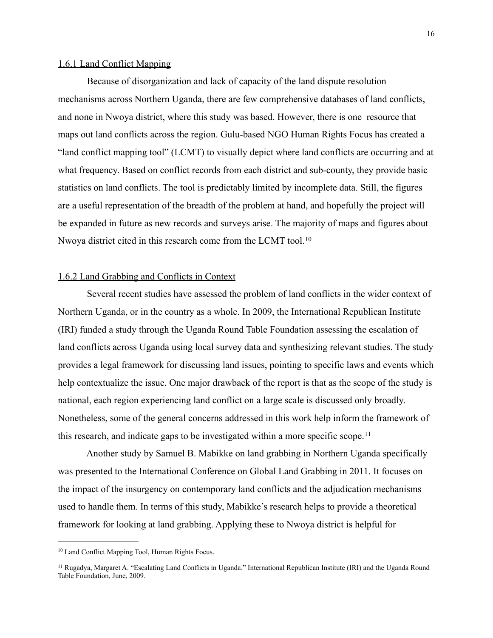#### 1.6.1 Land Conflict Mapping

 Because of disorganization and lack of capacity of the land dispute resolution mechanisms across Northern Uganda, there are few comprehensive databases of land conflicts, and none in Nwoya district, where this study was based. However, there is one resource that maps out land conflicts across the region. Gulu-based NGO Human Rights Focus has created a "land conflict mapping tool" (LCMT) to visually depict where land conflicts are occurring and at what frequency. Based on conflict records from each district and sub-county, they provide basic statistics on land conflicts. The tool is predictably limited by incomplete data. Still, the figures are a useful representation of the breadth of the problem at hand, and hopefully the project will be expanded in future as new records and surveys arise. The majority of maps and figures about Nwoya district cited in this research come from the LCMT tool.<sup>[10](#page-16-0)</sup>

#### 1.6.2 Land Grabbing and Conflicts in Context

 Several recent studies have assessed the problem of land conflicts in the wider context of Northern Uganda, or in the country as a whole. In 2009, the International Republican Institute (IRI) funded a study through the Uganda Round Table Foundation assessing the escalation of land conflicts across Uganda using local survey data and synthesizing relevant studies. The study provides a legal framework for discussing land issues, pointing to specific laws and events which help contextualize the issue. One major drawback of the report is that as the scope of the study is national, each region experiencing land conflict on a large scale is discussed only broadly. Nonetheless, some of the general concerns addressed in this work help inform the framework of this research, and indicate gaps to be investigated within a more specific scope.[11](#page-16-1)

 Another study by Samuel B. Mabikke on land grabbing in Northern Uganda specifically was presented to the International Conference on Global Land Grabbing in 2011. It focuses on the impact of the insurgency on contemporary land conflicts and the adjudication mechanisms used to handle them. In terms of this study, Mabikke's research helps to provide a theoretical framework for looking at land grabbing. Applying these to Nwoya district is helpful for

<span id="page-16-0"></span><sup>10</sup> Land Conflict Mapping Tool, Human Rights Focus.

<span id="page-16-1"></span><sup>11</sup> Rugadya, Margaret A. "Escalating Land Conflicts in Uganda." International Republican Institute (IRI) and the Uganda Round Table Foundation, June, 2009.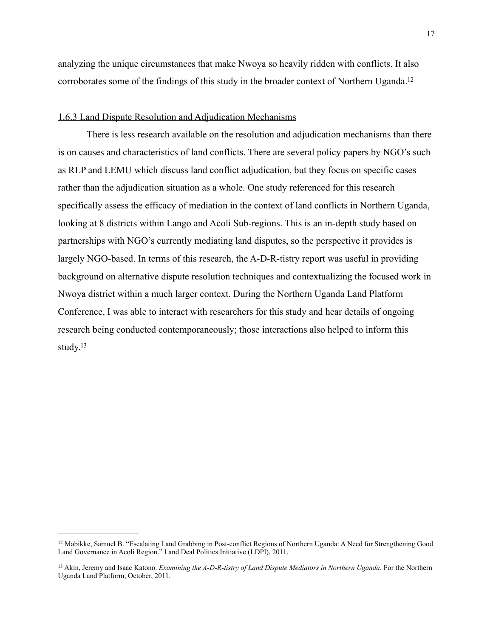analyzing the unique circumstances that make Nwoya so heavily ridden with conflicts. It also corroborates some of the findings of this study in the broader context of Northern Uganda.<sup>12</sup>

#### 1.6.3 Land Dispute Resolution and Adjudication Mechanisms

 There is less research available on the resolution and adjudication mechanisms than there is on causes and characteristics of land conflicts. There are several policy papers by NGO's such as RLP and LEMU which discuss land conflict adjudication, but they focus on specific cases rather than the adjudication situation as a whole. One study referenced for this research specifically assess the efficacy of mediation in the context of land conflicts in Northern Uganda, looking at 8 districts within Lango and Acoli Sub-regions. This is an in-depth study based on partnerships with NGO's currently mediating land disputes, so the perspective it provides is largely NGO-based. In terms of this research, the A-D-R-tistry report was useful in providing background on alternative dispute resolution techniques and contextualizing the focused work in Nwoya district within a much larger context. During the Northern Uganda Land Platform Conference, I was able to interact with researchers for this study and hear details of ongoing research being conducted contemporaneously; those interactions also helped to inform this study[.13](#page-17-1)

<span id="page-17-0"></span><sup>12</sup> Mabikke, Samuel B. "Escalating Land Grabbing in Post-conflict Regions of Northern Uganda: A Need for Strengthening Good Land Governance in Acoli Region." Land Deal Politics Initiative (LDPI), 2011.

<span id="page-17-1"></span><sup>13</sup> Akin, Jeremy and Isaac Katono. *Examining the A-D-R-tistry of Land Dispute Mediators in Northern Uganda*. For the Northern Uganda Land Platform, October, 2011.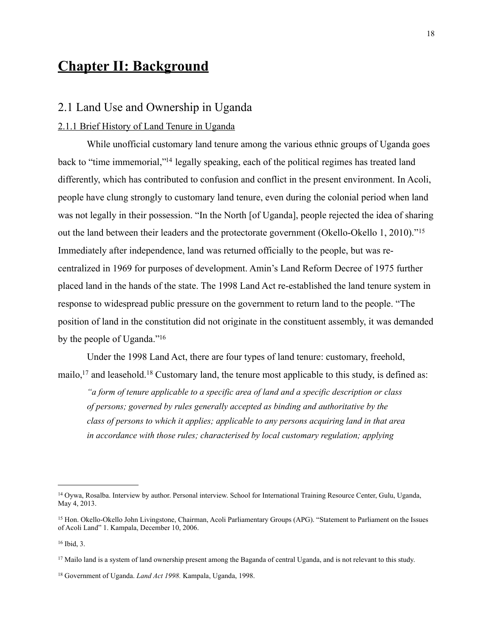# **Chapter II: Background**

#### 2.1 Land Use and Ownership in Uganda

#### 2.1.1 Brief History of Land Tenure in Uganda

 While unofficial customary land tenure among the various ethnic groups of Uganda goes back to "time immemorial,["14](#page-18-0) legally speaking, each of the political regimes has treated land differently, which has contributed to confusion and conflict in the present environment. In Acoli, people have clung strongly to customary land tenure, even during the colonial period when land was not legally in their possession. "In the North [of Uganda], people rejected the idea of sharing out the land between their leaders and the protectorate government (Okello-Okello 1, 2010)."[15](#page-18-1) Immediately after independence, land was returned officially to the people, but was recentralized in 1969 for purposes of development. Amin's Land Reform Decree of 1975 further placed land in the hands of the state. The 1998 Land Act re-established the land tenure system in response to widespread public pressure on the government to return land to the people. "The position of land in the constitution did not originate in the constituent assembly, it was demanded by the people of Uganda.["16](#page-18-2)

 Under the 1998 Land Act, there are four types of land tenure: customary, freehold, mailo,<sup>17</sup> and leasehold.<sup>18</sup> Customary land, the tenure most applicable to this study, is defined as:

*"a form of tenure applicable to a specific area of land and a specific description or class of persons; governed by rules generally accepted as binding and authoritative by the class of persons to which it applies; applicable to any persons acquiring land in that area in accordance with those rules; characterised by local customary regulation; applying* 

<span id="page-18-0"></span><sup>14</sup> Oywa, Rosalba. Interview by author. Personal interview. School for International Training Resource Center, Gulu, Uganda, May 4, 2013.

<span id="page-18-1"></span><sup>15</sup> Hon. Okello-Okello John Livingstone, Chairman, Acoli Parliamentary Groups (APG). "Statement to Parliament on the Issues of Acoli Land" 1. Kampala, December 10, 2006.

<span id="page-18-2"></span><sup>16</sup> Ibid, 3.

<span id="page-18-3"></span><sup>&</sup>lt;sup>17</sup> Mailo land is a system of land ownership present among the Baganda of central Uganda, and is not relevant to this study.

<span id="page-18-4"></span><sup>18</sup> Government of Uganda. *Land Act 1998.* Kampala, Uganda, 1998.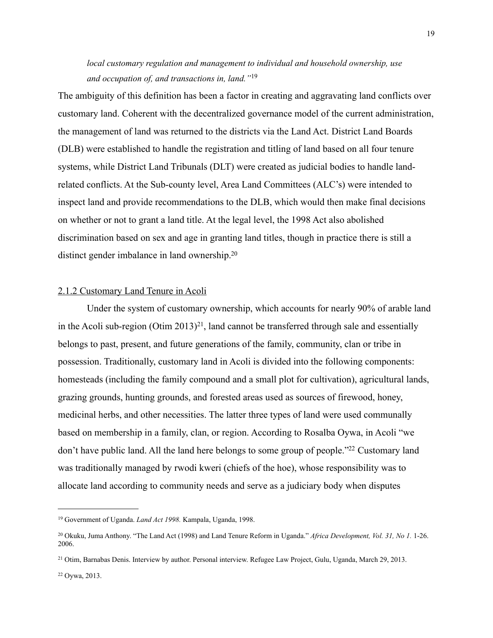*local customary regulation and management to individual and household ownership, use and occupation of, and transactions in, land."*[19](#page-19-0)

The ambiguity of this definition has been a factor in creating and aggravating land conflicts over customary land. Coherent with the decentralized governance model of the current administration, the management of land was returned to the districts via the Land Act. District Land Boards (DLB) were established to handle the registration and titling of land based on all four tenure systems, while District Land Tribunals (DLT) were created as judicial bodies to handle landrelated conflicts. At the Sub-county level, Area Land Committees (ALC's) were intended to inspect land and provide recommendations to the DLB, which would then make final decisions on whether or not to grant a land title. At the legal level, the 1998 Act also abolished discrimination based on sex and age in granting land titles, though in practice there is still a distinct gender imbalance in land ownership[.20](#page-19-1)

#### 2.1.2 Customary Land Tenure in Acoli

 Under the system of customary ownership, which accounts for nearly 90% of arable land in the Acoli sub-region (Otim 2013)<sup>21</sup>, land cannot be transferred through sale and essentially belongs to past, present, and future generations of the family, community, clan or tribe in possession. Traditionally, customary land in Acoli is divided into the following components: homesteads (including the family compound and a small plot for cultivation), agricultural lands, grazing grounds, hunting grounds, and forested areas used as sources of firewood, honey, medicinal herbs, and other necessities. The latter three types of land were used communally based on membership in a family, clan, or region. According to Rosalba Oywa, in Acoli "we don't have public land. All the land here belongs to some group of people.["22](#page-19-3) Customary land was traditionally managed by rwodi kweri (chiefs of the hoe), whose responsibility was to allocate land according to community needs and serve as a judiciary body when disputes

<span id="page-19-0"></span><sup>19</sup> Government of Uganda. *Land Act 1998.* Kampala, Uganda, 1998.

<span id="page-19-1"></span><sup>20</sup> Okuku, Juma Anthony. "The Land Act (1998) and Land Tenure Reform in Uganda." *Africa Development, Vol. 31, No 1.* 1-26. 2006.

<span id="page-19-3"></span><span id="page-19-2"></span><sup>21</sup> Otim, Barnabas Denis. Interview by author. Personal interview. Refugee Law Project, Gulu, Uganda, March 29, 2013.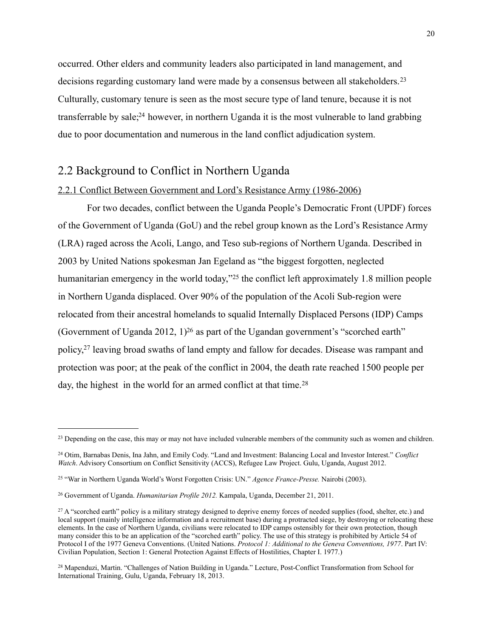occurred. Other elders and community leaders also participated in land management, and decisions regarding customary land were made by a consensus between all stakeholders.<sup>[23](#page-20-0)</sup> Culturally, customary tenure is seen as the most secure type of land tenure, because it is not transferrable by sale[;24](#page-20-1) however, in northern Uganda it is the most vulnerable to land grabbing due to poor documentation and numerous in the land conflict adjudication system.

### 2.2 Background to Conflict in Northern Uganda

#### 2.2.1 Conflict Between Government and Lord's Resistance Army (1986-2006)

 For two decades, conflict between the Uganda People's Democratic Front (UPDF) forces of the Government of Uganda (GoU) and the rebel group known as the Lord's Resistance Army (LRA) raged across the Acoli, Lango, and Teso sub-regions of Northern Uganda. Described in 2003 by United Nations spokesman Jan Egeland as "the biggest forgotten, neglected humanitarian emergency in the world today,"<sup>25</sup> the conflict left approximately 1.8 million people in Northern Uganda displaced. Over 90% of the population of the Acoli Sub-region were relocated from their ancestral homelands to squalid Internally Displaced Persons (IDP) Camps (Government of Uganda 2012,  $1$ )<sup>26</sup> as part of the Ugandan government's "scorched earth" policy[,27](#page-20-4) leaving broad swaths of land empty and fallow for decades. Disease was rampant and protection was poor; at the peak of the conflict in 2004, the death rate reached 1500 people per day, the highest in the world for an armed conflict at that time.<sup>[28](#page-20-5)</sup>

<span id="page-20-0"></span><sup>&</sup>lt;sup>23</sup> Depending on the case, this may or may not have included vulnerable members of the community such as women and children.

<span id="page-20-1"></span><sup>24</sup> Otim, Barnabas Denis, Ina Jahn, and Emily Cody. "Land and Investment: Balancing Local and Investor Interest." *Conflict Watch*. Advisory Consortium on Conflict Sensitivity (ACCS), Refugee Law Project. Gulu, Uganda, August 2012.

<span id="page-20-2"></span><sup>25 &</sup>quot;War in Northern Uganda World's Worst Forgotten Crisis: UN." *Agence France-Presse.* Nairobi (2003).

<span id="page-20-3"></span><sup>26</sup> Government of Uganda. *Humanitarian Profile 2012.* Kampala, Uganda, December 21, 2011.

<span id="page-20-4"></span><sup>&</sup>lt;sup>27</sup> A "scorched earth" policy is a military strategy designed to deprive enemy forces of needed supplies (food, shelter, etc.) and local support (mainly intelligence information and a recruitment base) during a protracted siege, by destroying or relocating these elements. In the case of Northern Uganda, civilians were relocated to IDP camps ostensibly for their own protection, though many consider this to be an application of the "scorched earth" policy. The use of this strategy is prohibited by Article 54 of Protocol I of the 1977 Geneva Conventions. (United Nations. *Protocol 1: Additional to the Geneva Conventions, 1977*. Part IV: Civilian Population, Section 1: General Protection Against Effects of Hostilities, Chapter I. 1977.)

<span id="page-20-5"></span><sup>28</sup> Mapenduzi, Martin. "Challenges of Nation Building in Uganda." Lecture, Post-Conflict Transformation from School for International Training, Gulu, Uganda, February 18, 2013.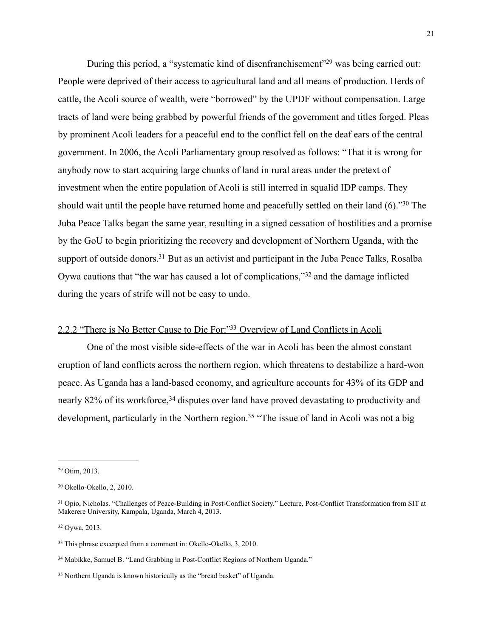During this period, a "systematic kind of disenfranchisement"<sup>29</sup> was being carried out: People were deprived of their access to agricultural land and all means of production. Herds of cattle, the Acoli source of wealth, were "borrowed" by the UPDF without compensation. Large tracts of land were being grabbed by powerful friends of the government and titles forged. Pleas by prominent Acoli leaders for a peaceful end to the conflict fell on the deaf ears of the central government. In 2006, the Acoli Parliamentary group resolved as follows: "That it is wrong for anybody now to start acquiring large chunks of land in rural areas under the pretext of investment when the entire population of Acoli is still interred in squalid IDP camps. They should wait until the people have returned home and peacefully settled on their land (6).["30](#page-21-1) The Juba Peace Talks began the same year, resulting in a signed cessation of hostilities and a promise by the GoU to begin prioritizing the recovery and development of Northern Uganda, with the support of outside donors.<sup>31</sup> But as an activist and participant in the Juba Peace Talks, Rosalba Oywa cautions that "the war has caused a lot of complications,"[32](#page-21-3) and the damage inflicted during the years of strife will not be easy to undo.

### 2.2.2 "There is No Better Cause to Die For:["33](#page-21-4) Overview of Land Conflicts in Acoli

 One of the most visible side-effects of the war in Acoli has been the almost constant eruption of land conflicts across the northern region, which threatens to destabilize a hard-won peace. As Uganda has a land-based economy, and agriculture accounts for 43% of its GDP and nearly 82% of its workforce,<sup>34</sup> disputes over land have proved devastating to productivity and development, particularly in the Northern region.<sup>35</sup> "The issue of land in Acoli was not a big

<span id="page-21-3"></span>32 Oywa, 2013.

<span id="page-21-0"></span><sup>29</sup> Otim, 2013.

<span id="page-21-1"></span><sup>30</sup> Okello-Okello, 2, 2010.

<span id="page-21-2"></span><sup>31</sup> Opio, Nicholas. "Challenges of Peace-Building in Post-Conflict Society." Lecture, Post-Conflict Transformation from SIT at Makerere University, Kampala, Uganda, March 4, 2013.

<span id="page-21-4"></span><sup>33</sup> This phrase excerpted from a comment in: Okello-Okello, 3, 2010.

<span id="page-21-5"></span><sup>34</sup> Mabikke, Samuel B. "Land Grabbing in Post-Conflict Regions of Northern Uganda."

<span id="page-21-6"></span><sup>35</sup> Northern Uganda is known historically as the "bread basket" of Uganda.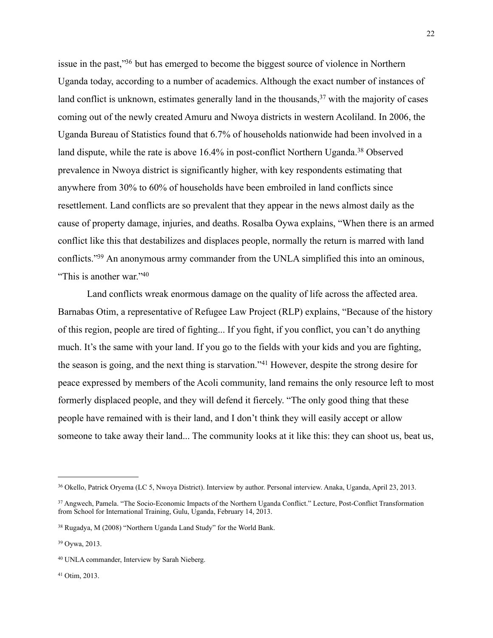issue in the past,["36](#page-22-0) but has emerged to become the biggest source of violence in Northern Uganda today, according to a number of academics. Although the exact number of instances of land conflict is unknown, estimates generally land in the thousands,  $37$  with the majority of cases coming out of the newly created Amuru and Nwoya districts in western Acoliland. In 2006, the Uganda Bureau of Statistics found that 6.7% of households nationwide had been involved in a land dispute, while the rate is above 16.4% in post-conflict Northern Uganda.<sup>38</sup> Observed prevalence in Nwoya district is significantly higher, with key respondents estimating that anywhere from 30% to 60% of households have been embroiled in land conflicts since resettlement. Land conflicts are so prevalent that they appear in the news almost daily as the cause of property damage, injuries, and deaths. Rosalba Oywa explains, "When there is an armed conflict like this that destabilizes and displaces people, normally the return is marred with land conflicts.["39](#page-22-3) An anonymous army commander from the UNLA simplified this into an ominous, "This is another war.["40](#page-22-4)

Land conflicts wreak enormous damage on the quality of life across the affected area. Barnabas Otim, a representative of Refugee Law Project (RLP) explains, "Because of the history of this region, people are tired of fighting... If you fight, if you conflict, you can't do anything much. It's the same with your land. If you go to the fields with your kids and you are fighting, the season is going, and the next thing is starvation."[41](#page-22-5) However, despite the strong desire for peace expressed by members of the Acoli community, land remains the only resource left to most formerly displaced people, and they will defend it fiercely. "The only good thing that these people have remained with is their land, and I don't think they will easily accept or allow someone to take away their land... The community looks at it like this: they can shoot us, beat us,

<span id="page-22-0"></span><sup>36</sup> Okello, Patrick Oryema (LC 5, Nwoya District). Interview by author. Personal interview. Anaka, Uganda, April 23, 2013.

<span id="page-22-1"></span><sup>37</sup> Angwech, Pamela. "The Socio-Economic Impacts of the Northern Uganda Conflict." Lecture, Post-Conflict Transformation from School for International Training, Gulu, Uganda, February 14, 2013.

<span id="page-22-2"></span><sup>38</sup> Rugadya, M (2008) "Northern Uganda Land Study" for the World Bank.

<span id="page-22-3"></span><sup>39</sup> Oywa, 2013.

<span id="page-22-4"></span><sup>40</sup> UNLA commander, Interview by Sarah Nieberg.

<span id="page-22-5"></span><sup>41</sup> Otim, 2013.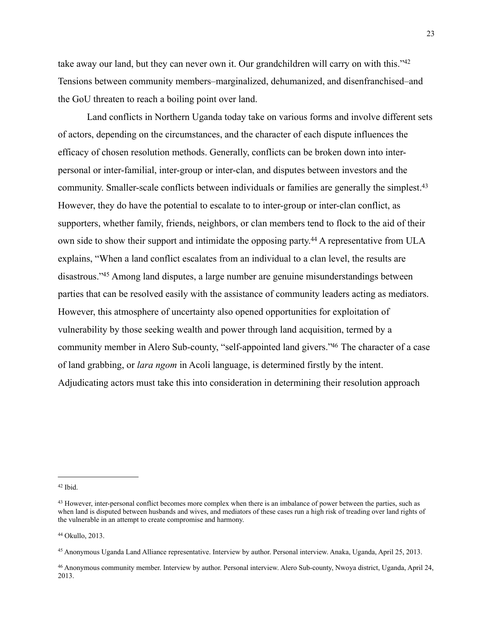take away our land, but they can never own it. Our grandchildren will carry on with this."<sup>42</sup> Tensions between community members–marginalized, dehumanized, and disenfranchised–and the GoU threaten to reach a boiling point over land.

 Land conflicts in Northern Uganda today take on various forms and involve different sets of actors, depending on the circumstances, and the character of each dispute influences the efficacy of chosen resolution methods. Generally, conflicts can be broken down into interpersonal or inter-familial, inter-group or inter-clan, and disputes between investors and the community. Smaller-scale conflicts between individuals or families are generally the simplest.<sup>43</sup> However, they do have the potential to escalate to to inter-group or inter-clan conflict, as supporters, whether family, friends, neighbors, or clan members tend to flock to the aid of their own side to show their support and intimidate the opposing party.<sup>44</sup> A representative from ULA explains, "When a land conflict escalates from an individual to a clan level, the results are disastrous.["45](#page-23-3) Among land disputes, a large number are genuine misunderstandings between parties that can be resolved easily with the assistance of community leaders acting as mediators. However, this atmosphere of uncertainty also opened opportunities for exploitation of vulnerability by those seeking wealth and power through land acquisition, termed by a community member in Alero Sub-county, "self-appointed land givers.["46](#page-23-4) The character of a case of land grabbing, or *lara ngom* in Acoli language, is determined firstly by the intent. Adjudicating actors must take this into consideration in determining their resolution approach

<span id="page-23-2"></span>44 Okullo, 2013.

<span id="page-23-0"></span><sup>42</sup> Ibid.

<span id="page-23-1"></span><sup>&</sup>lt;sup>43</sup> However, inter-personal conflict becomes more complex when there is an imbalance of power between the parties, such as when land is disputed between husbands and wives, and mediators of these cases run a high risk of treading over land rights of the vulnerable in an attempt to create compromise and harmony.

<span id="page-23-3"></span><sup>45</sup> Anonymous Uganda Land Alliance representative. Interview by author. Personal interview. Anaka, Uganda, April 25, 2013.

<span id="page-23-4"></span><sup>46</sup> Anonymous community member. Interview by author. Personal interview. Alero Sub-county, Nwoya district, Uganda, April 24, 2013.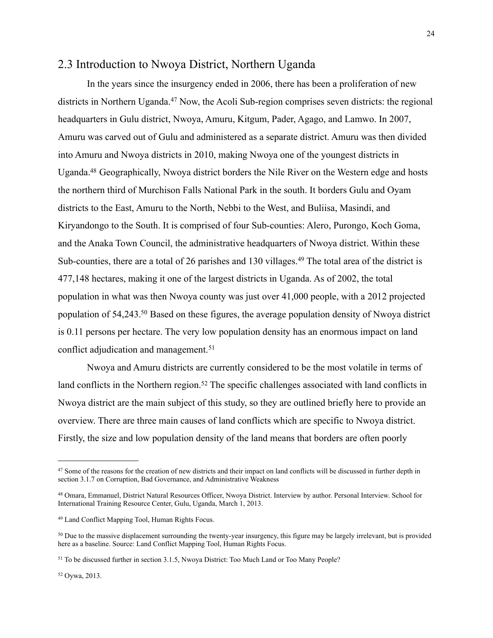### 2.3 Introduction to Nwoya District, Northern Uganda

 In the years since the insurgency ended in 2006, there has been a proliferation of new districts in Northern Uganda.<sup>47</sup> Now, the Acoli Sub-region comprises seven districts: the regional headquarters in Gulu district, Nwoya, Amuru, Kitgum, Pader, Agago, and Lamwo. In 2007, Amuru was carved out of Gulu and administered as a separate district. Amuru was then divided into Amuru and Nwoya districts in 2010, making Nwoya one of the youngest districts in Uganda[.48](#page-24-1) Geographically, Nwoya district borders the Nile River on the Western edge and hosts the northern third of Murchison Falls National Park in the south. It borders Gulu and Oyam districts to the East, Amuru to the North, Nebbi to the West, and Buliisa, Masindi, and Kiryandongo to the South. It is comprised of four Sub-counties: Alero, Purongo, Koch Goma, and the Anaka Town Council, the administrative headquarters of Nwoya district. Within these Sub-counties, there are a total of 26 parishes and 130 villages.<sup>49</sup> The total area of the district is 477,148 hectares, making it one of the largest districts in Uganda. As of 2002, the total population in what was then Nwoya county was just over 41,000 people, with a 2012 projected population of 54,243[.50](#page-24-3) Based on these figures, the average population density of Nwoya district is 0.11 persons per hectare. The very low population density has an enormous impact on land conflict adjudication and management.<sup>[51](#page-24-4)</sup>

 Nwoya and Amuru districts are currently considered to be the most volatile in terms of land conflicts in the Northern region.<sup>52</sup> The specific challenges associated with land conflicts in Nwoya district are the main subject of this study, so they are outlined briefly here to provide an overview. There are three main causes of land conflicts which are specific to Nwoya district. Firstly, the size and low population density of the land means that borders are often poorly

<span id="page-24-0"></span><sup>&</sup>lt;sup>47</sup> Some of the reasons for the creation of new districts and their impact on land conflicts will be discussed in further depth in section 3.1.7 on Corruption, Bad Governance, and Administrative Weakness

<span id="page-24-1"></span><sup>48</sup> Omara, Emmanuel, District Natural Resources Officer, Nwoya District. Interview by author. Personal Interview. School for International Training Resource Center, Gulu, Uganda, March 1, 2013.

<span id="page-24-2"></span><sup>49</sup> Land Conflict Mapping Tool, Human Rights Focus.

<span id="page-24-3"></span><sup>&</sup>lt;sup>50</sup> Due to the massive displacement surrounding the twenty-year insurgency, this figure may be largely irrelevant, but is provided here as a baseline. Source: Land Conflict Mapping Tool, Human Rights Focus.

<span id="page-24-5"></span><span id="page-24-4"></span><sup>51</sup> To be discussed further in section 3.1.5, Nwoya District: Too Much Land or Too Many People?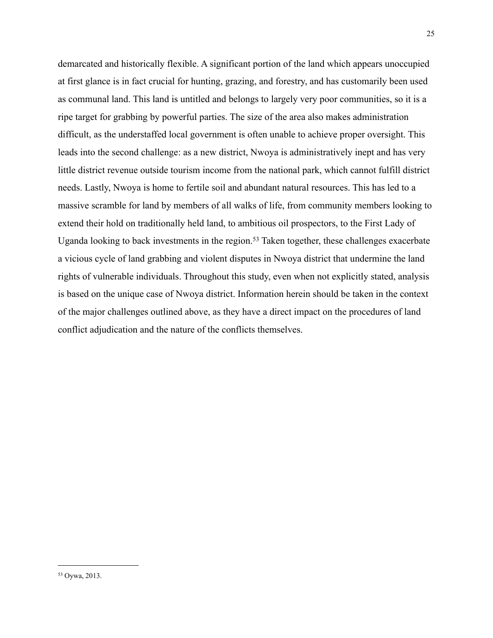<span id="page-25-0"></span>demarcated and historically flexible. A significant portion of the land which appears unoccupied at first glance is in fact crucial for hunting, grazing, and forestry, and has customarily been used as communal land. This land is untitled and belongs to largely very poor communities, so it is a ripe target for grabbing by powerful parties. The size of the area also makes administration difficult, as the understaffed local government is often unable to achieve proper oversight. This leads into the second challenge: as a new district, Nwoya is administratively inept and has very little district revenue outside tourism income from the national park, which cannot fulfill district needs. Lastly, Nwoya is home to fertile soil and abundant natural resources. This has led to a massive scramble for land by members of all walks of life, from community members looking to extend their hold on traditionally held land, to ambitious oil prospectors, to the First Lady of Uganda looking to back investments in the region.<sup>53</sup> Taken together, these challenges exacerbate a vicious cycle of land grabbing and violent disputes in Nwoya district that undermine the land rights of vulnerable individuals. Throughout this study, even when not explicitly stated, analysis is based on the unique case of Nwoya district. Information herein should be taken in the context of the major challenges outlined above, as they have a direct impact on the procedures of land conflict adjudication and the nature of the conflicts themselves.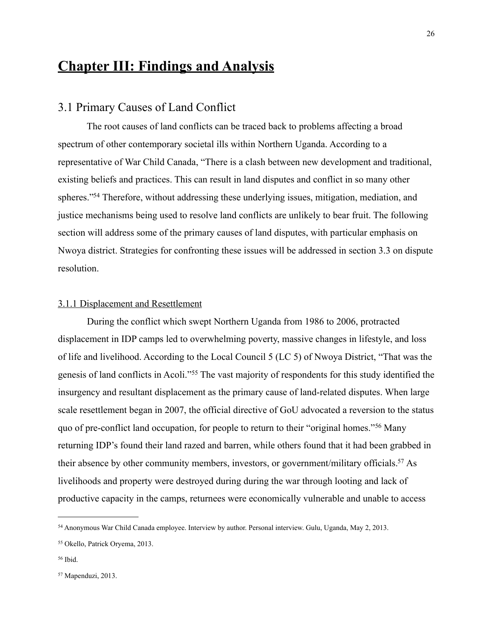# **Chapter III: Findings and Analysis**

### 3.1 Primary Causes of Land Conflict

 The root causes of land conflicts can be traced back to problems affecting a broad spectrum of other contemporary societal ills within Northern Uganda. According to a representative of War Child Canada, "There is a clash between new development and traditional, existing beliefs and practices. This can result in land disputes and conflict in so many other spheres.["54](#page-26-0) Therefore, without addressing these underlying issues, mitigation, mediation, and justice mechanisms being used to resolve land conflicts are unlikely to bear fruit. The following section will address some of the primary causes of land disputes, with particular emphasis on Nwoya district. Strategies for confronting these issues will be addressed in section 3.3 on dispute resolution.

#### 3.1.1 Displacement and Resettlement

 During the conflict which swept Northern Uganda from 1986 to 2006, protracted displacement in IDP camps led to overwhelming poverty, massive changes in lifestyle, and loss of life and livelihood. According to the Local Council 5 (LC 5) of Nwoya District, "That was the genesis of land conflicts in Acoli."[55](#page-26-1) The vast majority of respondents for this study identified the insurgency and resultant displacement as the primary cause of land-related disputes. When large scale resettlement began in 2007, the official directive of GoU advocated a reversion to the status quo of pre-conflict land occupation, for people to return to their "original homes."[56](#page-26-2) Many returning IDP's found their land razed and barren, while others found that it had been grabbed in their absence by other community members, investors, or government/military officials[.57](#page-26-3) As livelihoods and property were destroyed during during the war through looting and lack of productive capacity in the camps, returnees were economically vulnerable and unable to access

<span id="page-26-0"></span><sup>54</sup> Anonymous War Child Canada employee. Interview by author. Personal interview. Gulu, Uganda, May 2, 2013.

<span id="page-26-1"></span><sup>55</sup> Okello, Patrick Oryema, 2013.

<span id="page-26-2"></span><sup>56</sup> Ibid.

<span id="page-26-3"></span><sup>57</sup> Mapenduzi, 2013.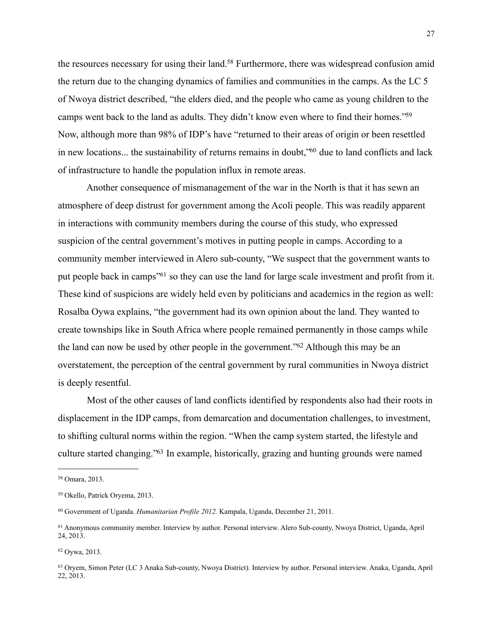the resources necessary for using their land.<sup>58</sup> Furthermore, there was widespread confusion amid the return due to the changing dynamics of families and communities in the camps. As the LC 5 of Nwoya district described, "the elders died, and the people who came as young children to the camps went back to the land as adults. They didn't know even where to find their homes.["59](#page-27-1) Now, although more than 98% of IDP's have "returned to their areas of origin or been resettled in new locations... the sustainability of returns remains in doubt, <sup>60</sup> due to land conflicts and lack of infrastructure to handle the population influx in remote areas.

 Another consequence of mismanagement of the war in the North is that it has sewn an atmosphere of deep distrust for government among the Acoli people. This was readily apparent in interactions with community members during the course of this study, who expressed suspicion of the central government's motives in putting people in camps. According to a community member interviewed in Alero sub-county, "We suspect that the government wants to put people back in camps["61](#page-27-3) so they can use the land for large scale investment and profit from it. These kind of suspicions are widely held even by politicians and academics in the region as well: Rosalba Oywa explains, "the government had its own opinion about the land. They wanted to create townships like in South Africa where people remained permanently in those camps while the land can now be used by other people in the government.["62](#page-27-4) Although this may be an overstatement, the perception of the central government by rural communities in Nwoya district is deeply resentful.

 Most of the other causes of land conflicts identified by respondents also had their roots in displacement in the IDP camps, from demarcation and documentation challenges, to investment, to shifting cultural norms within the region. "When the camp system started, the lifestyle and culture started changing.["63](#page-27-5) In example, historically, grazing and hunting grounds were named

<span id="page-27-0"></span><sup>58</sup> Omara, 2013.

<span id="page-27-1"></span><sup>59</sup> Okello, Patrick Oryema, 2013.

<span id="page-27-2"></span><sup>60</sup> Government of Uganda. *Humanitarian Profile 2012.* Kampala, Uganda, December 21, 2011.

<span id="page-27-3"></span><sup>61</sup> Anonymous community member. Interview by author. Personal interview. Alero Sub-county, Nwoya District, Uganda, April 24, 2013.

<span id="page-27-4"></span><sup>62</sup> Oywa, 2013.

<span id="page-27-5"></span><sup>63</sup> Oryem, Simon Peter (LC 3 Anaka Sub-county, Nwoya District). Interview by author. Personal interview. Anaka, Uganda, April 22, 2013.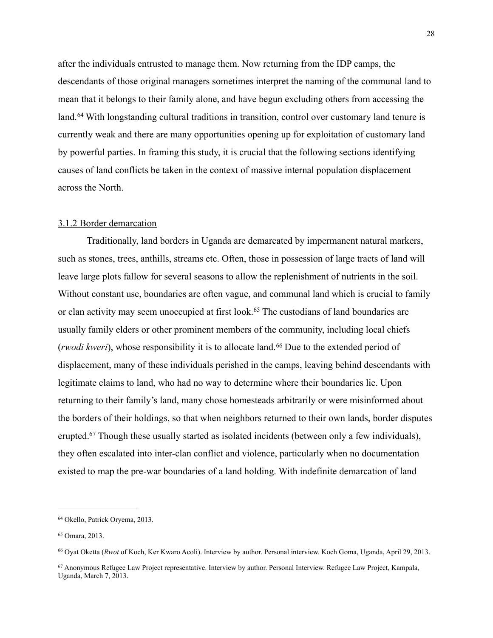after the individuals entrusted to manage them. Now returning from the IDP camps, the descendants of those original managers sometimes interpret the naming of the communal land to mean that it belongs to their family alone, and have begun excluding others from accessing the land.<sup>64</sup> With longstanding cultural traditions in transition, control over customary land tenure is currently weak and there are many opportunities opening up for exploitation of customary land by powerful parties. In framing this study, it is crucial that the following sections identifying causes of land conflicts be taken in the context of massive internal population displacement across the North.

#### 3.1.2 Border demarcation

 Traditionally, land borders in Uganda are demarcated by impermanent natural markers, such as stones, trees, anthills, streams etc. Often, those in possession of large tracts of land will leave large plots fallow for several seasons to allow the replenishment of nutrients in the soil. Without constant use, boundaries are often vague, and communal land which is crucial to family or clan activity may seem unoccupied at first look.<sup>65</sup> The custodians of land boundaries are usually family elders or other prominent members of the community, including local chiefs (*rwodi kweri*), whose responsibility it is to allocate land.<sup>66</sup> Due to the extended period of displacement, many of these individuals perished in the camps, leaving behind descendants with legitimate claims to land, who had no way to determine where their boundaries lie. Upon returning to their family's land, many chose homesteads arbitrarily or were misinformed about the borders of their holdings, so that when neighbors returned to their own lands, border disputes erupted.<sup>67</sup> Though these usually started as isolated incidents (between only a few individuals), they often escalated into inter-clan conflict and violence, particularly when no documentation existed to map the pre-war boundaries of a land holding. With indefinite demarcation of land

<span id="page-28-0"></span><sup>64</sup> Okello, Patrick Oryema, 2013.

<span id="page-28-1"></span><sup>65</sup> Omara, 2013.

<span id="page-28-2"></span><sup>66</sup> Oyat Oketta (*Rwot* of Koch, Ker Kwaro Acoli). Interview by author. Personal interview. Koch Goma, Uganda, April 29, 2013.

<span id="page-28-3"></span><sup>67</sup> Anonymous Refugee Law Project representative. Interview by author. Personal Interview. Refugee Law Project, Kampala, Uganda, March 7, 2013.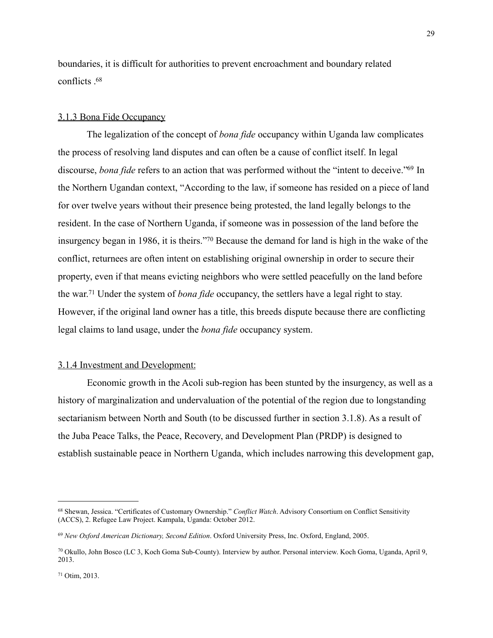boundaries, it is difficult for authorities to prevent encroachment and boundary related conflicts  $68$ 

#### 3.1.3 Bona Fide Occupancy

 The legalization of the concept of *bona fide* occupancy within Uganda law complicates the process of resolving land disputes and can often be a cause of conflict itself. In legal discourse, *bona fide* refers to an action that was performed without the "intent to deceive.["69](#page-29-1) In the Northern Ugandan context, "According to the law, if someone has resided on a piece of land for over twelve years without their presence being protested, the land legally belongs to the resident. In the case of Northern Uganda, if someone was in possession of the land before the insurgency began in 1986, it is theirs.["70](#page-29-2) Because the demand for land is high in the wake of the conflict, returnees are often intent on establishing original ownership in order to secure their property, even if that means evicting neighbors who were settled peacefully on the land before the war.[71](#page-29-3) Under the system of *bona fide* occupancy, the settlers have a legal right to stay. However, if the original land owner has a title, this breeds dispute because there are conflicting legal claims to land usage, under the *bona fide* occupancy system.

#### 3.1.4 Investment and Development:

 Economic growth in the Acoli sub-region has been stunted by the insurgency, as well as a history of marginalization and undervaluation of the potential of the region due to longstanding sectarianism between North and South (to be discussed further in section 3.1.8). As a result of the Juba Peace Talks, the Peace, Recovery, and Development Plan (PRDP) is designed to establish sustainable peace in Northern Uganda, which includes narrowing this development gap,

<span id="page-29-0"></span><sup>68</sup> Shewan, Jessica. "Certificates of Customary Ownership." *Conflict Watch*. Advisory Consortium on Conflict Sensitivity (ACCS), 2. Refugee Law Project. Kampala, Uganda: October 2012.

<span id="page-29-1"></span><sup>69</sup> *New Oxford American Dictionary, Second Edition*. Oxford University Press, Inc. Oxford, England, 2005.

<span id="page-29-2"></span><sup>70</sup> Okullo, John Bosco (LC 3, Koch Goma Sub-County). Interview by author. Personal interview. Koch Goma, Uganda, April 9, 2013.

<span id="page-29-3"></span><sup>71</sup> Otim, 2013.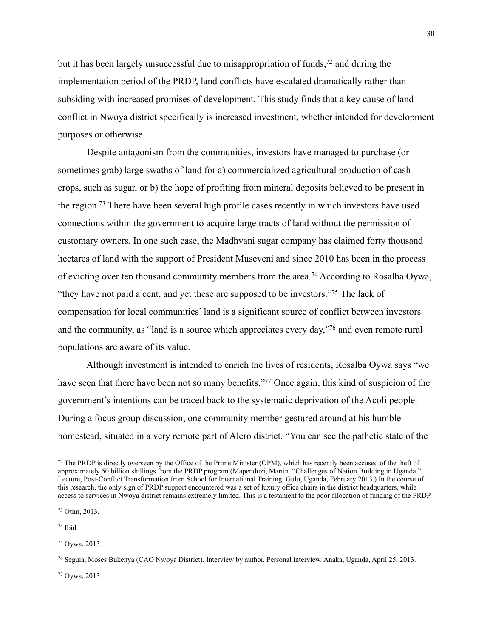but it has been largely unsuccessful due to misappropriation of funds,<sup> $72$ </sup> and during the implementation period of the PRDP, land conflicts have escalated dramatically rather than subsiding with increased promises of development. This study finds that a key cause of land conflict in Nwoya district specifically is increased investment, whether intended for development purposes or otherwise.

 Despite antagonism from the communities, investors have managed to purchase (or sometimes grab) large swaths of land for a) commercialized agricultural production of cash crops, such as sugar, or b) the hope of profiting from mineral deposits believed to be present in the region[.73](#page-30-1) There have been several high profile cases recently in which investors have used connections within the government to acquire large tracts of land without the permission of customary owners. In one such case, the Madhvani sugar company has claimed forty thousand hectares of land with the support of President Museveni and since 2010 has been in the process of evicting over ten thousand community members from the area.[74](#page-30-2) According to Rosalba Oywa, "they have not paid a cent, and yet these are supposed to be investors.["75](#page-30-3) The lack of compensation for local communities' land is a significant source of conflict between investors and the community, as "land is a source which appreciates every day,["76](#page-30-4) and even remote rural populations are aware of its value.

 Although investment is intended to enrich the lives of residents, Rosalba Oywa says "we have seen that there have been not so many benefits."<sup>77</sup> Once again, this kind of suspicion of the government's intentions can be traced back to the systematic deprivation of the Acoli people. During a focus group discussion, one community member gestured around at his humble homestead, situated in a very remote part of Alero district. "You can see the pathetic state of the

<span id="page-30-5"></span>77 Oywa, 2013.

<span id="page-30-0"></span><sup>72</sup> The PRDP is directly overseen by the Office of the Prime Minister (OPM), which has recently been accused of the theft of approximately 50 billion shillings from the PRDP program (Mapenduzi, Martin. "Challenges of Nation Building in Uganda." Lecture, Post-Conflict Transformation from School for International Training, Gulu, Uganda, February 2013.) In the course of this research, the only sign of PRDP support encountered was a set of luxury office chairs in the district headquarters, while access to services in Nwoya district remains extremely limited. This is a testament to the poor allocation of funding of the PRDP.

<span id="page-30-1"></span><sup>73</sup> Otim, 2013.

<span id="page-30-2"></span><sup>74</sup> Ibid.

<span id="page-30-3"></span><sup>75</sup> Oywa, 2013.

<span id="page-30-4"></span><sup>76</sup> Seguia, Moses Bukenya (CAO Nwoya District). Interview by author. Personal interview. Anaka, Uganda, April 25, 2013.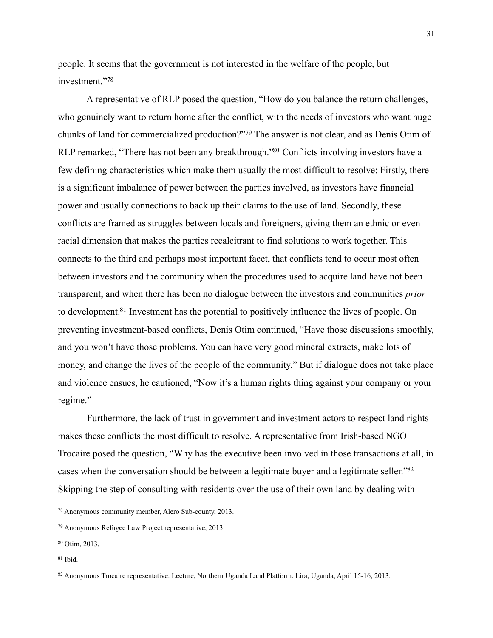people. It seems that the government is not interested in the welfare of the people, but investment."[78](#page-31-0)

 A representative of RLP posed the question, "How do you balance the return challenges, who genuinely want to return home after the conflict, with the needs of investors who want huge chunks of land for commercialized production?"[79](#page-31-1) The answer is not clear, and as Denis Otim of RLP remarked, "There has not been any breakthrough."<sup>80</sup> Conflicts involving investors have a few defining characteristics which make them usually the most difficult to resolve: Firstly, there is a significant imbalance of power between the parties involved, as investors have financial power and usually connections to back up their claims to the use of land. Secondly, these conflicts are framed as struggles between locals and foreigners, giving them an ethnic or even racial dimension that makes the parties recalcitrant to find solutions to work together. This connects to the third and perhaps most important facet, that conflicts tend to occur most often between investors and the community when the procedures used to acquire land have not been transparent, and when there has been no dialogue between the investors and communities *prior* to development[.81](#page-31-3) Investment has the potential to positively influence the lives of people. On preventing investment-based conflicts, Denis Otim continued, "Have those discussions smoothly, and you won't have those problems. You can have very good mineral extracts, make lots of money, and change the lives of the people of the community." But if dialogue does not take place and violence ensues, he cautioned, "Now it's a human rights thing against your company or your regime."

Furthermore, the lack of trust in government and investment actors to respect land rights makes these conflicts the most difficult to resolve. A representative from Irish-based NGO Trocaire posed the question, "Why has the executive been involved in those transactions at all, in cases when the conversation should be between a legitimate buyer and a legitimate seller.["82](#page-31-4) Skipping the step of consulting with residents over the use of their own land by dealing with

<span id="page-31-0"></span><sup>78</sup> Anonymous community member, Alero Sub-county, 2013.

<span id="page-31-1"></span><sup>79</sup> Anonymous Refugee Law Project representative, 2013.

<span id="page-31-2"></span><sup>80</sup> Otim, 2013.

<span id="page-31-3"></span><sup>81</sup> Ibid.

<span id="page-31-4"></span><sup>82</sup> Anonymous Trocaire representative. Lecture, Northern Uganda Land Platform. Lira, Uganda, April 15-16, 2013.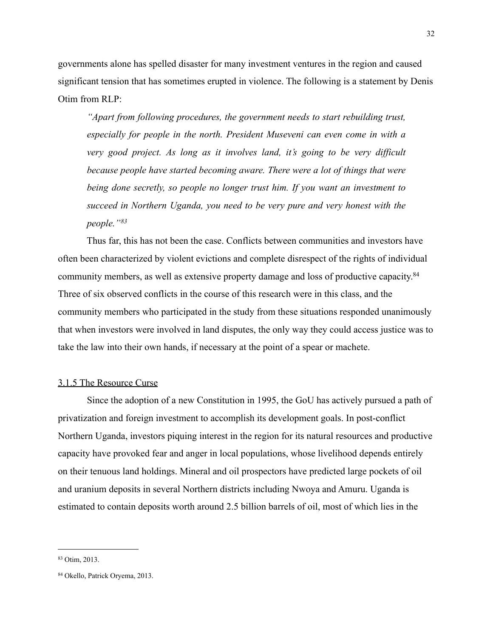governments alone has spelled disaster for many investment ventures in the region and caused significant tension that has sometimes erupted in violence. The following is a statement by Denis Otim from  $RLP$ .

*"Apart from following procedures, the government needs to start rebuilding trust, especially for people in the north. President Museveni can even come in with a very good project. As long as it involves land, it's going to be very difficult because people have started becoming aware. There were a lot of things that were being done secretly, so people no longer trust him. If you want an investment to succeed in Northern Uganda, you need to be very pure and very honest with the people."[83](#page-32-0)*

 Thus far, this has not been the case. Conflicts between communities and investors have often been characterized by violent evictions and complete disrespect of the rights of individual community members, as well as extensive property damage and loss of productive capacity[.84](#page-32-1) Three of six observed conflicts in the course of this research were in this class, and the community members who participated in the study from these situations responded unanimously that when investors were involved in land disputes, the only way they could access justice was to take the law into their own hands, if necessary at the point of a spear or machete.

#### 3.1.5 The Resource Curse

Since the adoption of a new Constitution in 1995, the GoU has actively pursued a path of privatization and foreign investment to accomplish its development goals. In post-conflict Northern Uganda, investors piquing interest in the region for its natural resources and productive capacity have provoked fear and anger in local populations, whose livelihood depends entirely on their tenuous land holdings. Mineral and oil prospectors have predicted large pockets of oil and uranium deposits in several Northern districts including Nwoya and Amuru. Uganda is estimated to contain deposits worth around 2.5 billion barrels of oil, most of which lies in the

<span id="page-32-0"></span><sup>83</sup> Otim, 2013.

<span id="page-32-1"></span><sup>84</sup> Okello, Patrick Oryema, 2013.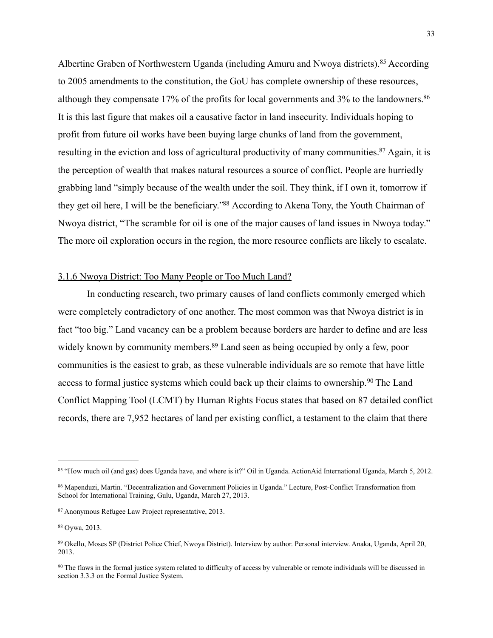Albertine Graben of Northwestern Uganda (including Amuru and Nwoya districts).[85](#page-33-0) According to 2005 amendments to the constitution, the GoU has complete ownership of these resources, although they compensate 17% of the profits for local governments and 3% to the landowners.<sup>86</sup> It is this last figure that makes oil a causative factor in land insecurity. Individuals hoping to profit from future oil works have been buying large chunks of land from the government, resulting in the eviction and loss of agricultural productivity of many communities.<sup>87</sup> Again, it is the perception of wealth that makes natural resources a source of conflict. People are hurriedly grabbing land "simply because of the wealth under the soil. They think, if I own it, tomorrow if they get oil here, I will be the beneficiary.["88](#page-33-3) According to Akena Tony, the Youth Chairman of Nwoya district, "The scramble for oil is one of the major causes of land issues in Nwoya today." The more oil exploration occurs in the region, the more resource conflicts are likely to escalate.

#### 3.1.6 Nwoya District: Too Many People or Too Much Land?

 In conducting research, two primary causes of land conflicts commonly emerged which were completely contradictory of one another. The most common was that Nwoya district is in fact "too big." Land vacancy can be a problem because borders are harder to define and are less widely known by community members.<sup>89</sup> Land seen as being occupied by only a few, poor communities is the easiest to grab, as these vulnerable individuals are so remote that have little access to formal justice systems which could back up their claims to ownership.[90](#page-33-5) The Land Conflict Mapping Tool (LCMT) by Human Rights Focus states that based on 87 detailed conflict records, there are 7,952 hectares of land per existing conflict, a testament to the claim that there

<span id="page-33-0"></span><sup>85 &</sup>quot;How much oil (and gas) does Uganda have, and where is it?" Oil in Uganda. ActionAid International Uganda, March 5, 2012.

<span id="page-33-1"></span><sup>86</sup> Mapenduzi, Martin. "Decentralization and Government Policies in Uganda." Lecture, Post-Conflict Transformation from School for International Training, Gulu, Uganda, March 27, 2013.

<span id="page-33-2"></span><sup>87</sup> Anonymous Refugee Law Project representative, 2013.

<span id="page-33-3"></span><sup>88</sup> Oywa, 2013.

<span id="page-33-4"></span><sup>89</sup> Okello, Moses SP (District Police Chief, Nwoya District). Interview by author. Personal interview. Anaka, Uganda, April 20, 2013.

<span id="page-33-5"></span><sup>90</sup> The flaws in the formal justice system related to difficulty of access by vulnerable or remote individuals will be discussed in section 3.3.3 on the Formal Justice System.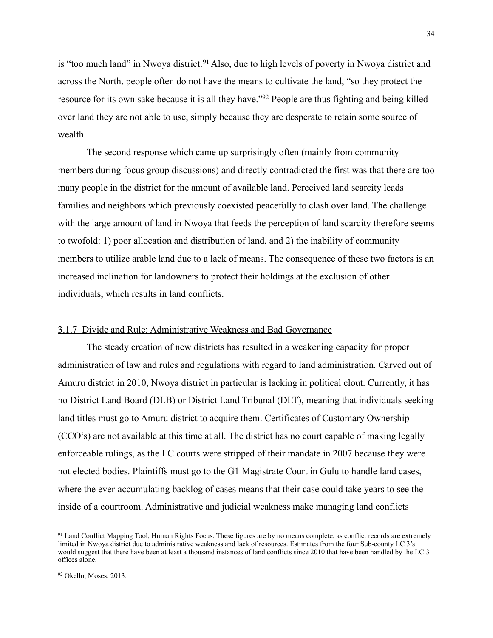is "too much land" in Nwoya district.<sup>91</sup> Also, due to high levels of poverty in Nwoya district and across the North, people often do not have the means to cultivate the land, "so they protect the resource for its own sake because it is all they have.["92](#page-34-1) People are thus fighting and being killed over land they are not able to use, simply because they are desperate to retain some source of wealth.

 The second response which came up surprisingly often (mainly from community members during focus group discussions) and directly contradicted the first was that there are too many people in the district for the amount of available land. Perceived land scarcity leads families and neighbors which previously coexisted peacefully to clash over land. The challenge with the large amount of land in Nwoya that feeds the perception of land scarcity therefore seems to twofold: 1) poor allocation and distribution of land, and 2) the inability of community members to utilize arable land due to a lack of means. The consequence of these two factors is an increased inclination for landowners to protect their holdings at the exclusion of other individuals, which results in land conflicts.

#### 3.1.7 Divide and Rule: Administrative Weakness and Bad Governance

 The steady creation of new districts has resulted in a weakening capacity for proper administration of law and rules and regulations with regard to land administration. Carved out of Amuru district in 2010, Nwoya district in particular is lacking in political clout. Currently, it has no District Land Board (DLB) or District Land Tribunal (DLT), meaning that individuals seeking land titles must go to Amuru district to acquire them. Certificates of Customary Ownership (CCO's) are not available at this time at all. The district has no court capable of making legally enforceable rulings, as the LC courts were stripped of their mandate in 2007 because they were not elected bodies. Plaintiffs must go to the G1 Magistrate Court in Gulu to handle land cases, where the ever-accumulating backlog of cases means that their case could take years to see the inside of a courtroom. Administrative and judicial weakness make managing land conflicts

<span id="page-34-1"></span><span id="page-34-0"></span><sup>&</sup>lt;sup>91</sup> Land Conflict Mapping Tool, Human Rights Focus. These figures are by no means complete, as conflict records are extremely limited in Nwoya district due to administrative weakness and lack of resources. Estimates from the four Sub-county LC 3's would suggest that there have been at least a thousand instances of land conflicts since 2010 that have been handled by the LC 3 offices alone.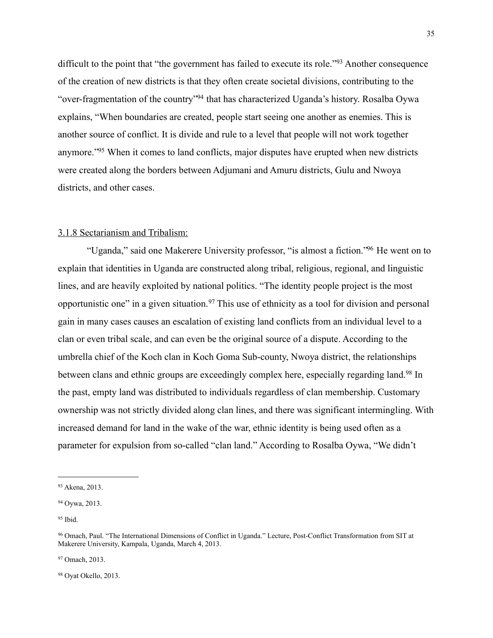difficult to the point that "the government has failed to execute its role."<sup>[93](#page-35-0)</sup> Another consequence of the creation of new districts is that they often create societal divisions, contributing to the "over-fragmentation of the country["94](#page-35-1) that has characterized Uganda's history. Rosalba Oywa explains, "When boundaries are created, people start seeing one another as enemies. This is another source of conflict. It is divide and rule to a level that people will not work together anymore.["95](#page-35-2) When it comes to land conflicts, major disputes have erupted when new districts were created along the borders between Adjumani and Amuru districts, Gulu and Nwoya districts, and other cases.

#### 3.1.8 Sectarianism and Tribalism:

 "Uganda," said one Makerere University professor, "is almost a fiction.["96](#page-35-3) He went on to explain that identities in Uganda are constructed along tribal, religious, regional, and linguistic lines, and are heavily exploited by national politics. "The identity people project is the most opportunistic one" in a given situation.<sup>97</sup> This use of ethnicity as a tool for division and personal gain in many cases causes an escalation of existing land conflicts from an individual level to a clan or even tribal scale, and can even be the original source of a dispute. According to the umbrella chief of the Koch clan in Koch Goma Sub-county, Nwoya district, the relationships between clans and ethnic groups are exceedingly complex here, especially regarding land.<sup>98</sup> In the past, empty land was distributed to individuals regardless of clan membership. Customary ownership was not strictly divided along clan lines, and there was significant intermingling. With increased demand for land in the wake of the war, ethnic identity is being used often as a parameter for expulsion from so-called "clan land." According to Rosalba Oywa, "We didn't

<span id="page-35-4"></span>97 Omach, 2013.

<span id="page-35-5"></span>98 Oyat Okello, 2013.

<span id="page-35-0"></span><sup>93</sup> Akena, 2013.

<span id="page-35-1"></span><sup>94</sup> Oywa, 2013.

<span id="page-35-2"></span><sup>95</sup> Ibid.

<span id="page-35-3"></span><sup>96</sup> Omach, Paul. "The International Dimensions of Conflict in Uganda." Lecture, Post-Conflict Transformation from SIT at Makerere University, Kampala, Uganda, March 4, 2013.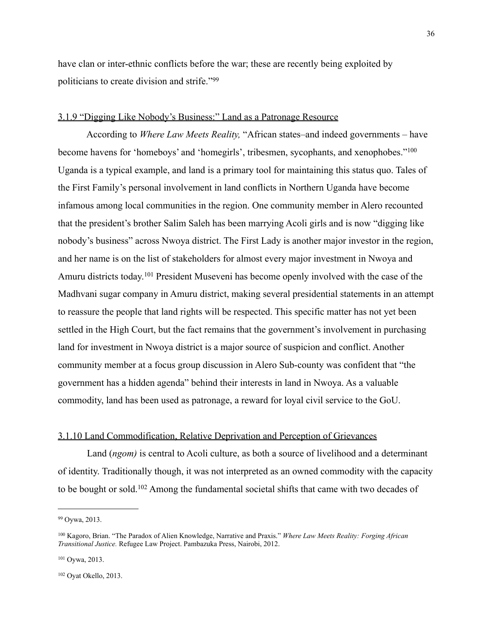have clan or inter-ethnic conflicts before the war; these are recently being exploited by politicians to create division and strife."[99](#page-36-0)

#### 3.1.9 "Digging Like Nobody's Business:" Land as a Patronage Resource

 According to *Where Law Meets Reality,* "African states–and indeed governments – have become havens for 'homeboys' and 'homegirls', tribesmen, sycophants, and xenophobes."[100](#page-36-1) Uganda is a typical example, and land is a primary tool for maintaining this status quo. Tales of the First Family's personal involvement in land conflicts in Northern Uganda have become infamous among local communities in the region. One community member in Alero recounted that the president's brother Salim Saleh has been marrying Acoli girls and is now "digging like nobody's business" across Nwoya district. The First Lady is another major investor in the region, and her name is on the list of stakeholders for almost every major investment in Nwoya and Amuru districts today.[101](#page-36-2) President Museveni has become openly involved with the case of the Madhvani sugar company in Amuru district, making several presidential statements in an attempt to reassure the people that land rights will be respected. This specific matter has not yet been settled in the High Court, but the fact remains that the government's involvement in purchasing land for investment in Nwoya district is a major source of suspicion and conflict. Another community member at a focus group discussion in Alero Sub-county was confident that "the government has a hidden agenda" behind their interests in land in Nwoya. As a valuable commodity, land has been used as patronage, a reward for loyal civil service to the GoU.

#### 3.1.10 Land Commodification, Relative Deprivation and Perception of Grievances

 Land (*ngom)* is central to Acoli culture, as both a source of livelihood and a determinant of identity. Traditionally though, it was not interpreted as an owned commodity with the capacity to be bought or sold.[102](#page-36-3) Among the fundamental societal shifts that came with two decades of

<span id="page-36-0"></span><sup>99</sup> Oywa, 2013.

<span id="page-36-1"></span><sup>100</sup> Kagoro, Brian. "The Paradox of Alien Knowledge, Narrative and Praxis." *Where Law Meets Reality: Forging African Transitional Justice.* Refugee Law Project. Pambazuka Press, Nairobi, 2012.

<span id="page-36-2"></span><sup>101</sup> Oywa, 2013.

<span id="page-36-3"></span><sup>102</sup> Oyat Okello, 2013.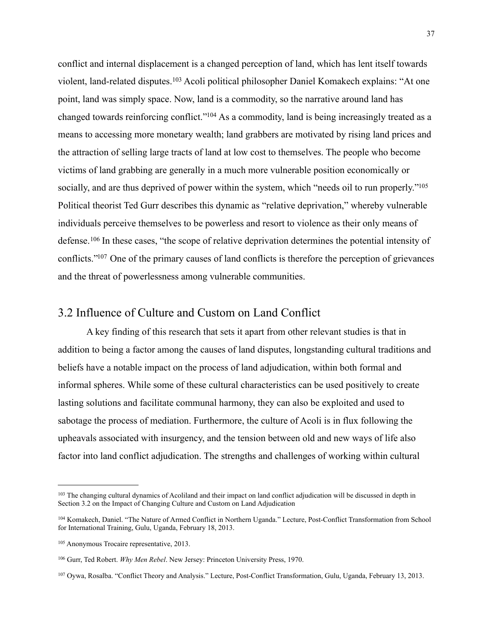conflict and internal displacement is a changed perception of land, which has lent itself towards violent, land-related disputes.[103](#page-37-0) Acoli political philosopher Daniel Komakech explains: "At one point, land was simply space. Now, land is a commodity, so the narrative around land has changed towards reinforcing conflict.["104](#page-37-1) As a commodity, land is being increasingly treated as a means to accessing more monetary wealth; land grabbers are motivated by rising land prices and the attraction of selling large tracts of land at low cost to themselves. The people who become victims of land grabbing are generally in a much more vulnerable position economically or socially, and are thus deprived of power within the system, which "needs oil to run properly."<sup>105</sup> Political theorist Ted Gurr describes this dynamic as "relative deprivation," whereby vulnerable individuals perceive themselves to be powerless and resort to violence as their only means of defense.[106](#page-37-3) In these cases, "the scope of relative deprivation determines the potential intensity of conflicts.["107](#page-37-4) One of the primary causes of land conflicts is therefore the perception of grievances and the threat of powerlessness among vulnerable communities.

### 3.2 Influence of Culture and Custom on Land Conflict

 A key finding of this research that sets it apart from other relevant studies is that in addition to being a factor among the causes of land disputes, longstanding cultural traditions and beliefs have a notable impact on the process of land adjudication, within both formal and informal spheres. While some of these cultural characteristics can be used positively to create lasting solutions and facilitate communal harmony, they can also be exploited and used to sabotage the process of mediation. Furthermore, the culture of Acoli is in flux following the upheavals associated with insurgency, and the tension between old and new ways of life also factor into land conflict adjudication. The strengths and challenges of working within cultural

<span id="page-37-0"></span><sup>&</sup>lt;sup>103</sup> The changing cultural dynamics of Acoliland and their impact on land conflict adjudication will be discussed in depth in Section 3.2 on the Impact of Changing Culture and Custom on Land Adjudication

<span id="page-37-1"></span><sup>104</sup> Komakech, Daniel. "The Nature of Armed Conflict in Northern Uganda." Lecture, Post-Conflict Transformation from School for International Training, Gulu, Uganda, February 18, 2013.

<span id="page-37-2"></span><sup>105</sup> Anonymous Trocaire representative, 2013.

<span id="page-37-3"></span><sup>106</sup> Gurr, Ted Robert. *Why Men Rebel*. New Jersey: Princeton University Press, 1970.

<span id="page-37-4"></span><sup>107</sup> Oywa, Rosalba. "Conflict Theory and Analysis." Lecture, Post-Conflict Transformation, Gulu, Uganda, February 13, 2013.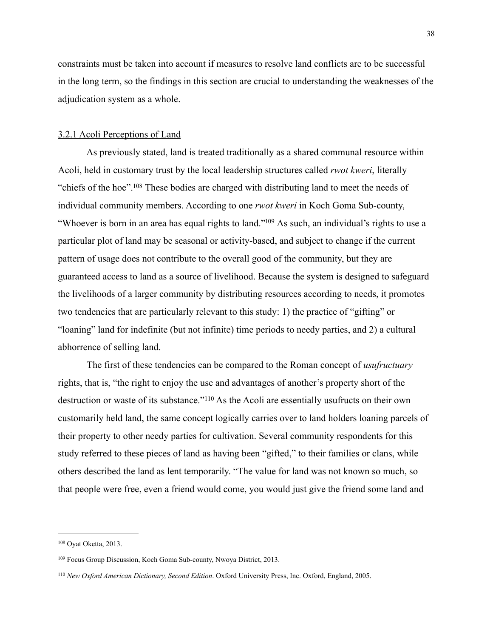constraints must be taken into account if measures to resolve land conflicts are to be successful in the long term, so the findings in this section are crucial to understanding the weaknesses of the adjudication system as a whole.

#### 3.2.1 Acoli Perceptions of Land

 As previously stated, land is treated traditionally as a shared communal resource within Acoli, held in customary trust by the local leadership structures called *rwot kweri*, literally "chiefs of the hoe"[.108](#page-38-0) These bodies are charged with distributing land to meet the needs of individual community members. According to one *rwot kweri* in Koch Goma Sub-county, "Whoever is born in an area has equal rights to land.["109](#page-38-1) As such, an individual's rights to use a particular plot of land may be seasonal or activity-based, and subject to change if the current pattern of usage does not contribute to the overall good of the community, but they are guaranteed access to land as a source of livelihood. Because the system is designed to safeguard the livelihoods of a larger community by distributing resources according to needs, it promotes two tendencies that are particularly relevant to this study: 1) the practice of "gifting" or "loaning" land for indefinite (but not infinite) time periods to needy parties, and 2) a cultural abhorrence of selling land.

 The first of these tendencies can be compared to the Roman concept of *usufructuary*  rights, that is, "the right to enjoy the use and advantages of another's property short of the destruction or waste of its substance."[110](#page-38-2) As the Acoli are essentially usufructs on their own customarily held land, the same concept logically carries over to land holders loaning parcels of their property to other needy parties for cultivation. Several community respondents for this study referred to these pieces of land as having been "gifted," to their families or clans, while others described the land as lent temporarily. "The value for land was not known so much, so that people were free, even a friend would come, you would just give the friend some land and

<span id="page-38-0"></span><sup>108</sup> Oyat Oketta, 2013.

<span id="page-38-1"></span><sup>109</sup> Focus Group Discussion, Koch Goma Sub-county, Nwoya District, 2013.

<span id="page-38-2"></span><sup>110</sup> *New Oxford American Dictionary, Second Edition*. Oxford University Press, Inc. Oxford, England, 2005.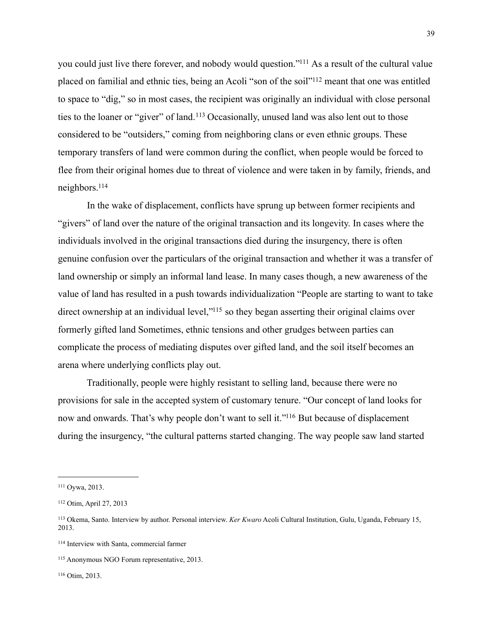you could just live there forever, and nobody would question.["111](#page-39-0) As a result of the cultural value placed on familial and ethnic ties, being an Acoli "son of the soil["112](#page-39-1) meant that one was entitled to space to "dig," so in most cases, the recipient was originally an individual with close personal ties to the loaner or "giver" of land.[113](#page-39-2) Occasionally, unused land was also lent out to those considered to be "outsiders," coming from neighboring clans or even ethnic groups. These temporary transfers of land were common during the conflict, when people would be forced to flee from their original homes due to threat of violence and were taken in by family, friends, and neighbors[.114](#page-39-3)

 In the wake of displacement, conflicts have sprung up between former recipients and "givers" of land over the nature of the original transaction and its longevity. In cases where the individuals involved in the original transactions died during the insurgency, there is often genuine confusion over the particulars of the original transaction and whether it was a transfer of land ownership or simply an informal land lease. In many cases though, a new awareness of the value of land has resulted in a push towards individualization "People are starting to want to take direct ownership at an individual level,"<sup>115</sup> so they began asserting their original claims over formerly gifted land Sometimes, ethnic tensions and other grudges between parties can complicate the process of mediating disputes over gifted land, and the soil itself becomes an arena where underlying conflicts play out.

 Traditionally, people were highly resistant to selling land, because there were no provisions for sale in the accepted system of customary tenure. "Our concept of land looks for now and onwards. That's why people don't want to sell it."<sup>116</sup> But because of displacement during the insurgency, "the cultural patterns started changing. The way people saw land started

<span id="page-39-0"></span><sup>111</sup> Oywa, 2013.

<span id="page-39-1"></span><sup>112</sup> Otim, April 27, 2013

<span id="page-39-2"></span><sup>113</sup> Okema, Santo. Interview by author. Personal interview. *Ker Kwaro* Acoli Cultural Institution, Gulu, Uganda, February 15, 2013.

<span id="page-39-3"></span><sup>114</sup> Interview with Santa, commercial farmer

<span id="page-39-4"></span><sup>115</sup> Anonymous NGO Forum representative, 2013.

<span id="page-39-5"></span><sup>116</sup> Otim, 2013.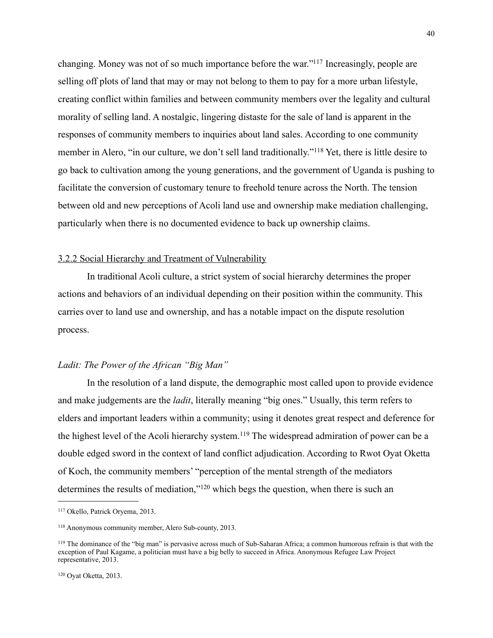changing. Money was not of so much importance before the war.["117](#page-40-0) Increasingly, people are selling off plots of land that may or may not belong to them to pay for a more urban lifestyle, creating conflict within families and between community members over the legality and cultural morality of selling land. A nostalgic, lingering distaste for the sale of land is apparent in the responses of community members to inquiries about land sales. According to one community member in Alero, "in our culture, we don't sell land traditionally."[118](#page-40-1) Yet, there is little desire to go back to cultivation among the young generations, and the government of Uganda is pushing to facilitate the conversion of customary tenure to freehold tenure across the North. The tension between old and new perceptions of Acoli land use and ownership make mediation challenging, particularly when there is no documented evidence to back up ownership claims.

#### 3.2.2 Social Hierarchy and Treatment of Vulnerability

 In traditional Acoli culture, a strict system of social hierarchy determines the proper actions and behaviors of an individual depending on their position within the community. This carries over to land use and ownership, and has a notable impact on the dispute resolution process.

#### *Ladit: The Power of the African "Big Man"*

 In the resolution of a land dispute, the demographic most called upon to provide evidence and make judgements are the *ladit*, literally meaning "big ones." Usually, this term refers to elders and important leaders within a community; using it denotes great respect and deference for the highest level of the Acoli hierarchy system.<sup>119</sup> The widespread admiration of power can be a double edged sword in the context of land conflict adjudication. According to Rwot Oyat Oketta of Koch, the community members' "perception of the mental strength of the mediators determines the results of mediation,"[120](#page-40-3) which begs the question, when there is such an

<span id="page-40-0"></span><sup>117</sup> Okello, Patrick Oryema, 2013.

<span id="page-40-1"></span><sup>118</sup> Anonymous community member, Alero Sub-county, 2013.

<span id="page-40-3"></span><span id="page-40-2"></span><sup>119</sup> The dominance of the "big man" is pervasive across much of Sub-Saharan Africa; a common humorous refrain is that with the exception of Paul Kagame, a politician must have a big belly to succeed in Africa. Anonymous Refugee Law Project representative, 2013.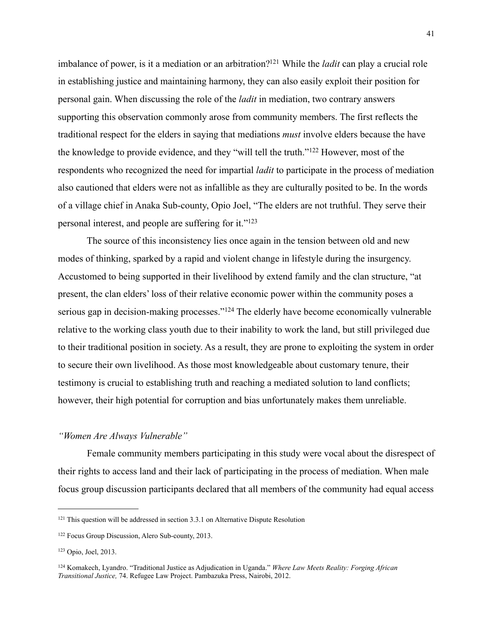imbalance of power, is it a mediation or an arbitration[?121](#page-41-0) While the *ladit* can play a crucial role in establishing justice and maintaining harmony, they can also easily exploit their position for personal gain. When discussing the role of the *ladit* in mediation, two contrary answers supporting this observation commonly arose from community members. The first reflects the traditional respect for the elders in saying that mediations *must* involve elders because the have the knowledge to provide evidence, and they "will tell the truth."[122](#page-41-1) However, most of the respondents who recognized the need for impartial *ladit* to participate in the process of mediation also cautioned that elders were not as infallible as they are culturally posited to be. In the words of a village chief in Anaka Sub-county, Opio Joel, "The elders are not truthful. They serve their personal interest, and people are suffering for it.["123](#page-41-2)

 The source of this inconsistency lies once again in the tension between old and new modes of thinking, sparked by a rapid and violent change in lifestyle during the insurgency. Accustomed to being supported in their livelihood by extend family and the clan structure, "at present, the clan elders' loss of their relative economic power within the community poses a serious gap in decision-making processes."[124](#page-41-3) The elderly have become economically vulnerable relative to the working class youth due to their inability to work the land, but still privileged due to their traditional position in society. As a result, they are prone to exploiting the system in order to secure their own livelihood. As those most knowledgeable about customary tenure, their testimony is crucial to establishing truth and reaching a mediated solution to land conflicts; however, their high potential for corruption and bias unfortunately makes them unreliable.

#### *"Women Are Always Vulnerable"*

 Female community members participating in this study were vocal about the disrespect of their rights to access land and their lack of participating in the process of mediation. When male focus group discussion participants declared that all members of the community had equal access

<span id="page-41-0"></span><sup>121</sup> This question will be addressed in section 3.3.1 on Alternative Dispute Resolution

<span id="page-41-1"></span><sup>122</sup> Focus Group Discussion, Alero Sub-county, 2013.

<span id="page-41-2"></span><sup>123</sup> Opio, Joel, 2013.

<span id="page-41-3"></span><sup>124</sup> Komakech, Lyandro. "Traditional Justice as Adjudication in Uganda." *Where Law Meets Reality: Forging African Transitional Justice,* 74. Refugee Law Project. Pambazuka Press, Nairobi, 2012.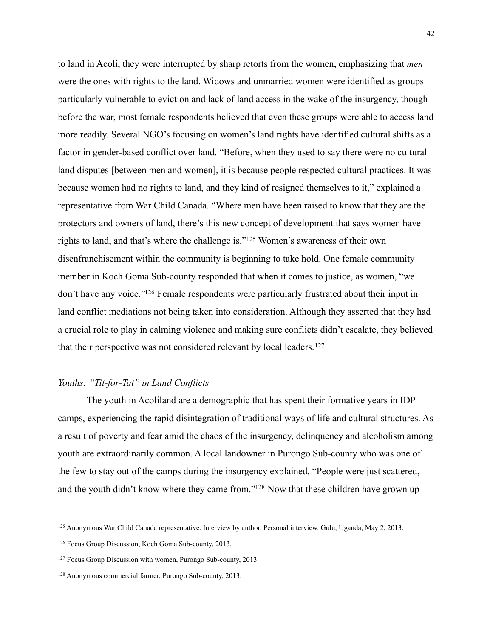to land in Acoli, they were interrupted by sharp retorts from the women, emphasizing that *men*  were the ones with rights to the land. Widows and unmarried women were identified as groups particularly vulnerable to eviction and lack of land access in the wake of the insurgency, though before the war, most female respondents believed that even these groups were able to access land more readily. Several NGO's focusing on women's land rights have identified cultural shifts as a factor in gender-based conflict over land. "Before, when they used to say there were no cultural land disputes [between men and women], it is because people respected cultural practices. It was because women had no rights to land, and they kind of resigned themselves to it," explained a representative from War Child Canada. "Where men have been raised to know that they are the protectors and owners of land, there's this new concept of development that says women have rights to land, and that's where the challenge is."[125](#page-42-0) Women's awareness of their own disenfranchisement within the community is beginning to take hold. One female community member in Koch Goma Sub-county responded that when it comes to justice, as women, "we don't have any voice.["126](#page-42-1) Female respondents were particularly frustrated about their input in land conflict mediations not being taken into consideration. Although they asserted that they had a crucial role to play in calming violence and making sure conflicts didn't escalate, they believed that their perspective was not considered relevant by local leaders.[127](#page-42-2)

#### *Youths: "Tit-for-Tat" in Land Conflicts*

 The youth in Acoliland are a demographic that has spent their formative years in IDP camps, experiencing the rapid disintegration of traditional ways of life and cultural structures. As a result of poverty and fear amid the chaos of the insurgency, delinquency and alcoholism among youth are extraordinarily common. A local landowner in Purongo Sub-county who was one of the few to stay out of the camps during the insurgency explained, "People were just scattered, and the youth didn't know where they came from.["128](#page-42-3) Now that these children have grown up

<span id="page-42-0"></span><sup>125</sup> Anonymous War Child Canada representative. Interview by author. Personal interview. Gulu, Uganda, May 2, 2013.

<span id="page-42-1"></span><sup>126</sup> Focus Group Discussion, Koch Goma Sub-county, 2013.

<span id="page-42-2"></span><sup>127</sup> Focus Group Discussion with women, Purongo Sub-county, 2013.

<span id="page-42-3"></span><sup>128</sup> Anonymous commercial farmer, Purongo Sub-county, 2013.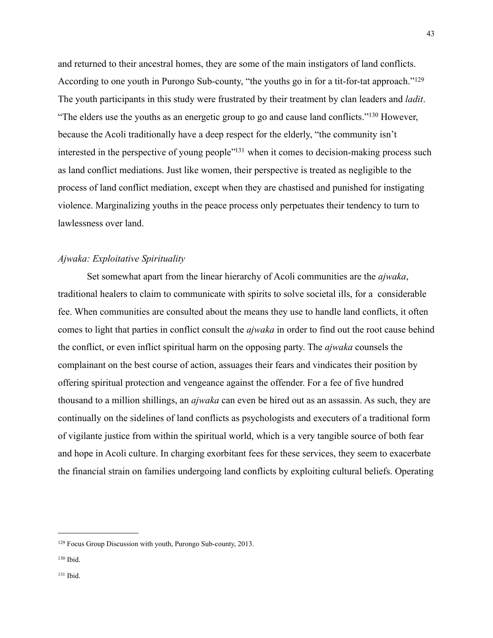and returned to their ancestral homes, they are some of the main instigators of land conflicts. According to one youth in Purongo Sub-county, "the youths go in for a tit-for-tat approach."<sup>[129](#page-43-0)</sup> The youth participants in this study were frustrated by their treatment by clan leaders and *ladit*. "The elders use the youths as an energetic group to go and cause land conflicts."[130](#page-43-1) However, because the Acoli traditionally have a deep respect for the elderly, "the community isn't interested in the perspective of young people<sup>"131</sup> when it comes to decision-making process such as land conflict mediations. Just like women, their perspective is treated as negligible to the process of land conflict mediation, except when they are chastised and punished for instigating violence. Marginalizing youths in the peace process only perpetuates their tendency to turn to lawlessness over land.

#### *Ajwaka: Exploitative Spirituality*

 Set somewhat apart from the linear hierarchy of Acoli communities are the *ajwaka*, traditional healers to claim to communicate with spirits to solve societal ills, for a considerable fee. When communities are consulted about the means they use to handle land conflicts, it often comes to light that parties in conflict consult the *ajwaka* in order to find out the root cause behind the conflict, or even inflict spiritual harm on the opposing party. The *ajwaka* counsels the complainant on the best course of action, assuages their fears and vindicates their position by offering spiritual protection and vengeance against the offender. For a fee of five hundred thousand to a million shillings, an *ajwaka* can even be hired out as an assassin. As such, they are continually on the sidelines of land conflicts as psychologists and executers of a traditional form of vigilante justice from within the spiritual world, which is a very tangible source of both fear and hope in Acoli culture. In charging exorbitant fees for these services, they seem to exacerbate the financial strain on families undergoing land conflicts by exploiting cultural beliefs. Operating

<span id="page-43-0"></span><sup>129</sup> Focus Group Discussion with youth, Purongo Sub-county, 2013.

<span id="page-43-1"></span><sup>130</sup> Ibid.

<span id="page-43-2"></span><sup>131</sup> Ibid.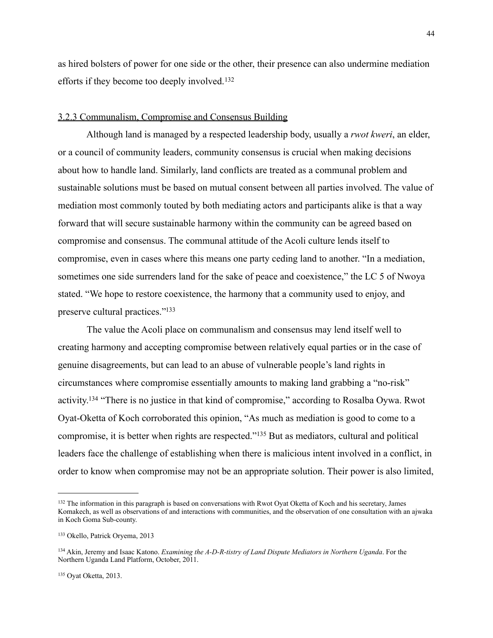as hired bolsters of power for one side or the other, their presence can also undermine mediation efforts if they become too deeply involved.<sup>[132](#page-44-0)</sup>

#### 3.2.3 Communalism, Compromise and Consensus Building

Although land is managed by a respected leadership body, usually a *rwot kweri*, an elder, or a council of community leaders, community consensus is crucial when making decisions about how to handle land. Similarly, land conflicts are treated as a communal problem and sustainable solutions must be based on mutual consent between all parties involved. The value of mediation most commonly touted by both mediating actors and participants alike is that a way forward that will secure sustainable harmony within the community can be agreed based on compromise and consensus. The communal attitude of the Acoli culture lends itself to compromise, even in cases where this means one party ceding land to another. "In a mediation, sometimes one side surrenders land for the sake of peace and coexistence," the LC 5 of Nwoya stated. "We hope to restore coexistence, the harmony that a community used to enjoy, and preserve cultural practices.["133](#page-44-1)

The value the Acoli place on communalism and consensus may lend itself well to creating harmony and accepting compromise between relatively equal parties or in the case of genuine disagreements, but can lead to an abuse of vulnerable people's land rights in circumstances where compromise essentially amounts to making land grabbing a "no-risk" activity[.134](#page-44-2) "There is no justice in that kind of compromise," according to Rosalba Oywa. Rwot Oyat-Oketta of Koch corroborated this opinion, "As much as mediation is good to come to a compromise, it is better when rights are respected."[135](#page-44-3) But as mediators, cultural and political leaders face the challenge of establishing when there is malicious intent involved in a conflict, in order to know when compromise may not be an appropriate solution. Their power is also limited,

<span id="page-44-0"></span><sup>&</sup>lt;sup>132</sup> The information in this paragraph is based on conversations with Rwot Oyat Oketta of Koch and his secretary, James Komakech, as well as observations of and interactions with communities, and the observation of one consultation with an ajwaka in Koch Goma Sub-county.

<span id="page-44-1"></span><sup>133</sup> Okello, Patrick Oryema, 2013

<span id="page-44-3"></span><span id="page-44-2"></span><sup>134</sup> Akin, Jeremy and Isaac Katono. *Examining the A-D-R-tistry of Land Dispute Mediators in Northern Uganda*. For the Northern Uganda Land Platform, October, 2011.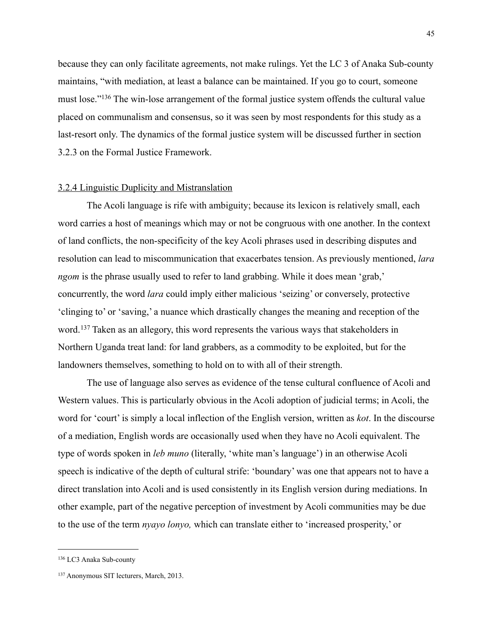because they can only facilitate agreements, not make rulings. Yet the LC 3 of Anaka Sub-county maintains, "with mediation, at least a balance can be maintained. If you go to court, someone must lose."[136](#page-45-0) The win-lose arrangement of the formal justice system offends the cultural value placed on communalism and consensus, so it was seen by most respondents for this study as a last-resort only. The dynamics of the formal justice system will be discussed further in section 3.2.3 on the Formal Justice Framework.

#### 3.2.4 Linguistic Duplicity and Mistranslation

 The Acoli language is rife with ambiguity; because its lexicon is relatively small, each word carries a host of meanings which may or not be congruous with one another. In the context of land conflicts, the non-specificity of the key Acoli phrases used in describing disputes and resolution can lead to miscommunication that exacerbates tension. As previously mentioned, *lara ngom* is the phrase usually used to refer to land grabbing. While it does mean 'grab,' concurrently, the word *lara* could imply either malicious 'seizing' or conversely, protective 'clinging to' or 'saving,' a nuance which drastically changes the meaning and reception of the word.[137](#page-45-1) Taken as an allegory, this word represents the various ways that stakeholders in Northern Uganda treat land: for land grabbers, as a commodity to be exploited, but for the landowners themselves, something to hold on to with all of their strength.

 The use of language also serves as evidence of the tense cultural confluence of Acoli and Western values. This is particularly obvious in the Acoli adoption of judicial terms; in Acoli, the word for 'court' is simply a local inflection of the English version, written as *kot*. In the discourse of a mediation, English words are occasionally used when they have no Acoli equivalent. The type of words spoken in *leb muno* (literally, 'white man's language') in an otherwise Acoli speech is indicative of the depth of cultural strife: 'boundary' was one that appears not to have a direct translation into Acoli and is used consistently in its English version during mediations. In other example, part of the negative perception of investment by Acoli communities may be due to the use of the term *nyayo lonyo,* which can translate either to 'increased prosperity,' or

<span id="page-45-0"></span><sup>136</sup> LC3 Anaka Sub-county

<span id="page-45-1"></span><sup>137</sup> Anonymous SIT lecturers, March, 2013.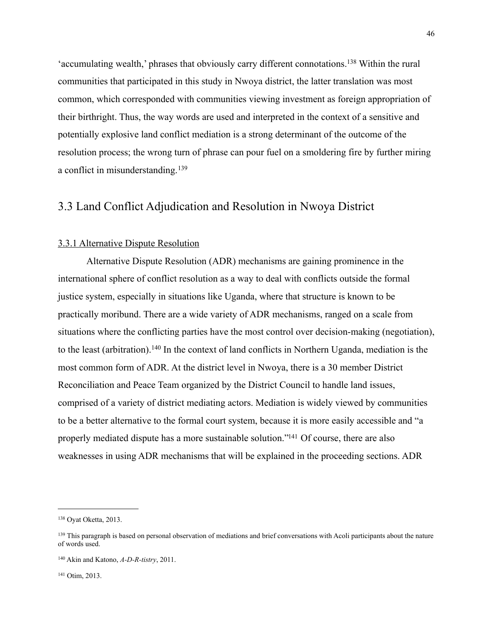'accumulating wealth,' phrases that obviously carry different connotations[.138](#page-46-0) Within the rural communities that participated in this study in Nwoya district, the latter translation was most common, which corresponded with communities viewing investment as foreign appropriation of their birthright. Thus, the way words are used and interpreted in the context of a sensitive and potentially explosive land conflict mediation is a strong determinant of the outcome of the resolution process; the wrong turn of phrase can pour fuel on a smoldering fire by further miring a conflict in misunderstanding.[139](#page-46-1)

### 3.3 Land Conflict Adjudication and Resolution in Nwoya District

#### 3.3.1 Alternative Dispute Resolution

 Alternative Dispute Resolution (ADR) mechanisms are gaining prominence in the international sphere of conflict resolution as a way to deal with conflicts outside the formal justice system, especially in situations like Uganda, where that structure is known to be practically moribund. There are a wide variety of ADR mechanisms, ranged on a scale from situations where the conflicting parties have the most control over decision-making (negotiation), to the least (arbitration).[140](#page-46-2) In the context of land conflicts in Northern Uganda, mediation is the most common form of ADR. At the district level in Nwoya, there is a 30 member District Reconciliation and Peace Team organized by the District Council to handle land issues, comprised of a variety of district mediating actors. Mediation is widely viewed by communities to be a better alternative to the formal court system, because it is more easily accessible and "a properly mediated dispute has a more sustainable solution.["141](#page-46-3) Of course, there are also weaknesses in using ADR mechanisms that will be explained in the proceeding sections. ADR

<span id="page-46-0"></span><sup>138</sup> Oyat Oketta, 2013.

<span id="page-46-1"></span><sup>&</sup>lt;sup>139</sup> This paragraph is based on personal observation of mediations and brief conversations with Acoli participants about the nature of words used.

<span id="page-46-2"></span><sup>140</sup> Akin and Katono, *A-D-R-tistry*, 2011.

<span id="page-46-3"></span><sup>141</sup> Otim, 2013.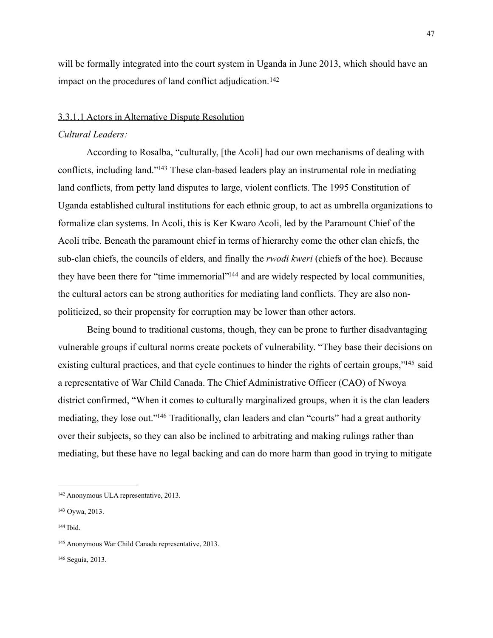will be formally integrated into the court system in Uganda in June 2013, which should have an impact on the procedures of land conflict adjudication.<sup>142</sup>

### 3.3.1.1 Actors in Alternative Dispute Resolution

#### *Cultural Leaders:*

 According to Rosalba, "culturally, [the Acoli] had our own mechanisms of dealing with conflicts, including land.["143](#page-47-1) These clan-based leaders play an instrumental role in mediating land conflicts, from petty land disputes to large, violent conflicts. The 1995 Constitution of Uganda established cultural institutions for each ethnic group, to act as umbrella organizations to formalize clan systems. In Acoli, this is Ker Kwaro Acoli, led by the Paramount Chief of the Acoli tribe. Beneath the paramount chief in terms of hierarchy come the other clan chiefs, the sub-clan chiefs, the councils of elders, and finally the *rwodi kweri* (chiefs of the hoe). Because they have been there for "time immemorial["144](#page-47-2) and are widely respected by local communities, the cultural actors can be strong authorities for mediating land conflicts. They are also nonpoliticized, so their propensity for corruption may be lower than other actors.

 Being bound to traditional customs, though, they can be prone to further disadvantaging vulnerable groups if cultural norms create pockets of vulnerability. "They base their decisions on existing cultural practices, and that cycle continues to hinder the rights of certain groups,"<sup>145</sup> said a representative of War Child Canada. The Chief Administrative Officer (CAO) of Nwoya district confirmed, "When it comes to culturally marginalized groups, when it is the clan leaders mediating, they lose out.["146](#page-47-4) Traditionally, clan leaders and clan "courts" had a great authority over their subjects, so they can also be inclined to arbitrating and making rulings rather than mediating, but these have no legal backing and can do more harm than good in trying to mitigate

<span id="page-47-0"></span><sup>142</sup> Anonymous ULA representative, 2013.

<span id="page-47-1"></span><sup>143</sup> Oywa, 2013.

<span id="page-47-2"></span><sup>144</sup> Ibid.

<span id="page-47-3"></span><sup>145</sup> Anonymous War Child Canada representative, 2013.

<span id="page-47-4"></span><sup>146</sup> Seguia, 2013.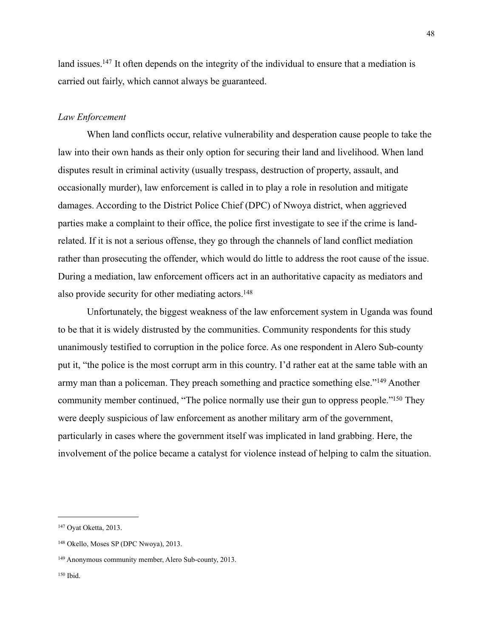land issues.<sup>147</sup> It often depends on the integrity of the individual to ensure that a mediation is carried out fairly, which cannot always be guaranteed.

#### *Law Enforcement*

 When land conflicts occur, relative vulnerability and desperation cause people to take the law into their own hands as their only option for securing their land and livelihood. When land disputes result in criminal activity (usually trespass, destruction of property, assault, and occasionally murder), law enforcement is called in to play a role in resolution and mitigate damages. According to the District Police Chief (DPC) of Nwoya district, when aggrieved parties make a complaint to their office, the police first investigate to see if the crime is landrelated. If it is not a serious offense, they go through the channels of land conflict mediation rather than prosecuting the offender, which would do little to address the root cause of the issue. During a mediation, law enforcement officers act in an authoritative capacity as mediators and also provide security for other mediating actors.<sup>148</sup>

 Unfortunately, the biggest weakness of the law enforcement system in Uganda was found to be that it is widely distrusted by the communities. Community respondents for this study unanimously testified to corruption in the police force. As one respondent in Alero Sub-county put it, "the police is the most corrupt arm in this country. I'd rather eat at the same table with an army man than a policeman. They preach something and practice something else."[149](#page-48-2) Another community member continued, "The police normally use their gun to oppress people.["150](#page-48-3) They were deeply suspicious of law enforcement as another military arm of the government, particularly in cases where the government itself was implicated in land grabbing. Here, the involvement of the police became a catalyst for violence instead of helping to calm the situation.

<span id="page-48-0"></span><sup>147</sup> Oyat Oketta, 2013.

<span id="page-48-1"></span><sup>148</sup> Okello, Moses SP (DPC Nwoya), 2013.

<span id="page-48-3"></span><span id="page-48-2"></span><sup>149</sup> Anonymous community member, Alero Sub-county, 2013.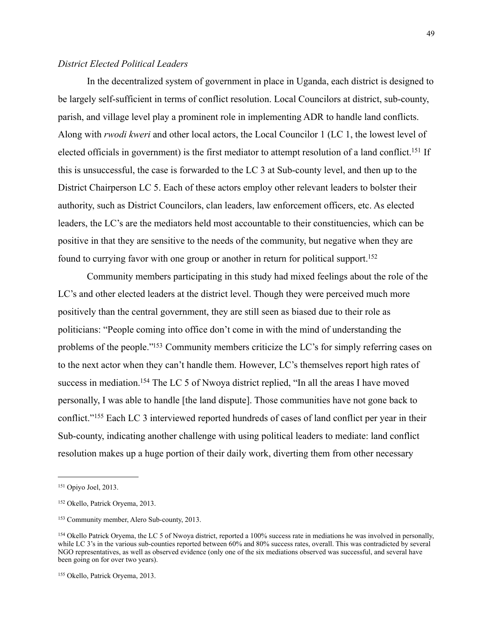#### *District Elected Political Leaders*

 In the decentralized system of government in place in Uganda, each district is designed to be largely self-sufficient in terms of conflict resolution. Local Councilors at district, sub-county, parish, and village level play a prominent role in implementing ADR to handle land conflicts. Along with *rwodi kweri* and other local actors, the Local Councilor 1 (LC 1, the lowest level of elected officials in government) is the first mediator to attempt resolution of a land conflict.<sup>151</sup> If this is unsuccessful, the case is forwarded to the LC 3 at Sub-county level, and then up to the District Chairperson LC 5. Each of these actors employ other relevant leaders to bolster their authority, such as District Councilors, clan leaders, law enforcement officers, etc. As elected leaders, the LC's are the mediators held most accountable to their constituencies, which can be positive in that they are sensitive to the needs of the community, but negative when they are found to currying favor with one group or another in return for political support[.152](#page-49-1)

 Community members participating in this study had mixed feelings about the role of the LC's and other elected leaders at the district level. Though they were perceived much more positively than the central government, they are still seen as biased due to their role as politicians: "People coming into office don't come in with the mind of understanding the problems of the people.["153](#page-49-2) Community members criticize the LC's for simply referring cases on to the next actor when they can't handle them. However, LC's themselves report high rates of success in mediation.<sup>154</sup> The LC 5 of Nwoya district replied, "In all the areas I have moved personally, I was able to handle [the land dispute]. Those communities have not gone back to conflict."[155](#page-49-4) Each LC 3 interviewed reported hundreds of cases of land conflict per year in their Sub-county, indicating another challenge with using political leaders to mediate: land conflict resolution makes up a huge portion of their daily work, diverting them from other necessary

<span id="page-49-0"></span><sup>151</sup> Opiyo Joel, 2013.

<span id="page-49-1"></span><sup>152</sup> Okello, Patrick Oryema, 2013.

<span id="page-49-2"></span><sup>153</sup> Community member, Alero Sub-county, 2013.

<span id="page-49-3"></span><sup>154</sup> Okello Patrick Oryema, the LC 5 of Nwoya district, reported a 100% success rate in mediations he was involved in personally, while LC 3's in the various sub-counties reported between 60% and 80% success rates, overall. This was contradicted by several NGO representatives, as well as observed evidence (only one of the six mediations observed was successful, and several have been going on for over two years).

<span id="page-49-4"></span><sup>155</sup> Okello, Patrick Oryema, 2013.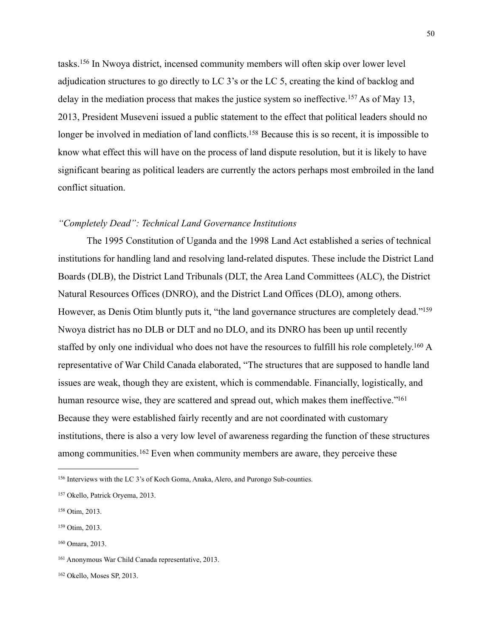tasks.[156](#page-50-0) In Nwoya district, incensed community members will often skip over lower level adjudication structures to go directly to LC 3's or the LC 5, creating the kind of backlog and delay in the mediation process that makes the justice system so ineffective.<sup>157</sup> As of May 13, 2013, President Museveni issued a public statement to the effect that political leaders should no longer be involved in mediation of land conflicts.<sup>158</sup> Because this is so recent, it is impossible to know what effect this will have on the process of land dispute resolution, but it is likely to have significant bearing as political leaders are currently the actors perhaps most embroiled in the land conflict situation.

#### *"Completely Dead": Technical Land Governance Institutions*

 The 1995 Constitution of Uganda and the 1998 Land Act established a series of technical institutions for handling land and resolving land-related disputes. These include the District Land Boards (DLB), the District Land Tribunals (DLT, the Area Land Committees (ALC), the District Natural Resources Offices (DNRO), and the District Land Offices (DLO), among others. However, as Denis Otim bluntly puts it, "the land governance structures are completely dead."<sup>159</sup> Nwoya district has no DLB or DLT and no DLO, and its DNRO has been up until recently staffed by only one individual who does not have the resources to fulfill his role completely.<sup>160</sup> A representative of War Child Canada elaborated, "The structures that are supposed to handle land issues are weak, though they are existent, which is commendable. Financially, logistically, and human resource wise, they are scattered and spread out, which makes them ineffective."<sup>161</sup> Because they were established fairly recently and are not coordinated with customary institutions, there is also a very low level of awareness regarding the function of these structures among communities.<sup>162</sup> Even when community members are aware, they perceive these

<span id="page-50-0"></span><sup>156</sup> Interviews with the LC 3's of Koch Goma, Anaka, Alero, and Purongo Sub-counties.

<span id="page-50-1"></span><sup>157</sup> Okello, Patrick Oryema, 2013.

<span id="page-50-2"></span><sup>158</sup> Otim, 2013.

<span id="page-50-3"></span><sup>159</sup> Otim, 2013.

<span id="page-50-4"></span><sup>160</sup> Omara, 2013.

<span id="page-50-5"></span><sup>161</sup> Anonymous War Child Canada representative, 2013.

<span id="page-50-6"></span><sup>162</sup> Okello, Moses SP, 2013.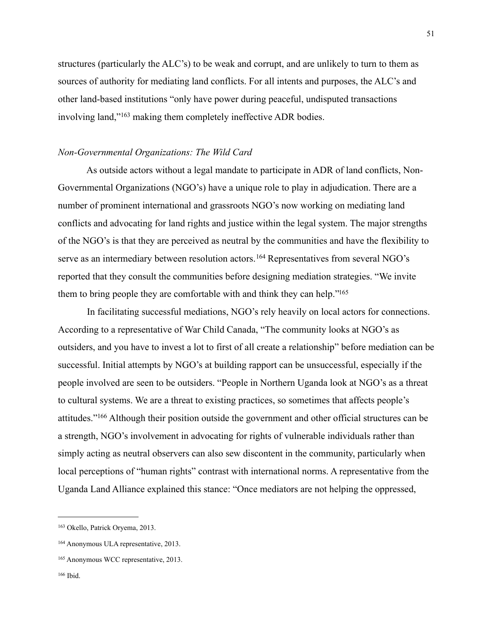structures (particularly the ALC's) to be weak and corrupt, and are unlikely to turn to them as sources of authority for mediating land conflicts. For all intents and purposes, the ALC's and other land-based institutions "only have power during peaceful, undisputed transactions involving land,"[163](#page-51-0) making them completely ineffective ADR bodies.

#### *Non-Governmental Organizations: The Wild Card*

 As outside actors without a legal mandate to participate in ADR of land conflicts, Non-Governmental Organizations (NGO's) have a unique role to play in adjudication. There are a number of prominent international and grassroots NGO's now working on mediating land conflicts and advocating for land rights and justice within the legal system. The major strengths of the NGO's is that they are perceived as neutral by the communities and have the flexibility to serve as an intermediary between resolution actors.<sup>164</sup> Representatives from several NGO's reported that they consult the communities before designing mediation strategies. "We invite them to bring people they are comfortable with and think they can help.["165](#page-51-2)

 In facilitating successful mediations, NGO's rely heavily on local actors for connections. According to a representative of War Child Canada, "The community looks at NGO's as outsiders, and you have to invest a lot to first of all create a relationship" before mediation can be successful. Initial attempts by NGO's at building rapport can be unsuccessful, especially if the people involved are seen to be outsiders. "People in Northern Uganda look at NGO's as a threat to cultural systems. We are a threat to existing practices, so sometimes that affects people's attitudes."[166](#page-51-3) Although their position outside the government and other official structures can be a strength, NGO's involvement in advocating for rights of vulnerable individuals rather than simply acting as neutral observers can also sew discontent in the community, particularly when local perceptions of "human rights" contrast with international norms. A representative from the Uganda Land Alliance explained this stance: "Once mediators are not helping the oppressed,

<span id="page-51-0"></span><sup>163</sup> Okello, Patrick Oryema, 2013.

<span id="page-51-1"></span><sup>164</sup> Anonymous ULA representative, 2013.

<span id="page-51-2"></span><sup>165</sup> Anonymous WCC representative, 2013.

<span id="page-51-3"></span><sup>166</sup> Ibid.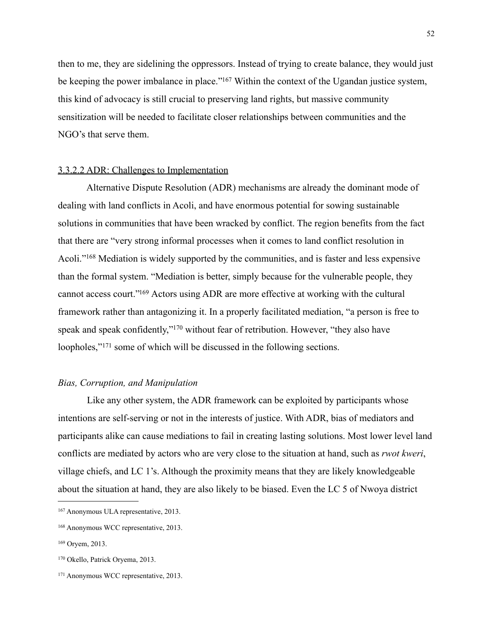then to me, they are sidelining the oppressors. Instead of trying to create balance, they would just be keeping the power imbalance in place."<sup>167</sup> Within the context of the Ugandan justice system, this kind of advocacy is still crucial to preserving land rights, but massive community sensitization will be needed to facilitate closer relationships between communities and the NGO's that serve them.

#### 3.3.2.2 ADR: Challenges to Implementation

 Alternative Dispute Resolution (ADR) mechanisms are already the dominant mode of dealing with land conflicts in Acoli, and have enormous potential for sowing sustainable solutions in communities that have been wracked by conflict. The region benefits from the fact that there are "very strong informal processes when it comes to land conflict resolution in Acoli."<sup>168</sup> Mediation is widely supported by the communities, and is faster and less expensive than the formal system. "Mediation is better, simply because for the vulnerable people, they cannot access court.["169](#page-52-2) Actors using ADR are more effective at working with the cultural framework rather than antagonizing it. In a properly facilitated mediation, "a person is free to speak and speak confidently,"<sup>170</sup> without fear of retribution. However, "they also have loopholes,"[171](#page-52-4) some of which will be discussed in the following sections.

#### *Bias, Corruption, and Manipulation*

 Like any other system, the ADR framework can be exploited by participants whose intentions are self-serving or not in the interests of justice. With ADR, bias of mediators and participants alike can cause mediations to fail in creating lasting solutions. Most lower level land conflicts are mediated by actors who are very close to the situation at hand, such as *rwot kweri*, village chiefs, and LC 1's. Although the proximity means that they are likely knowledgeable about the situation at hand, they are also likely to be biased. Even the LC 5 of Nwoya district

<span id="page-52-0"></span><sup>167</sup> Anonymous ULA representative, 2013.

<span id="page-52-1"></span><sup>168</sup> Anonymous WCC representative, 2013.

<span id="page-52-2"></span><sup>169</sup> Oryem, 2013.

<span id="page-52-3"></span><sup>170</sup> Okello, Patrick Oryema, 2013.

<span id="page-52-4"></span><sup>171</sup> Anonymous WCC representative, 2013.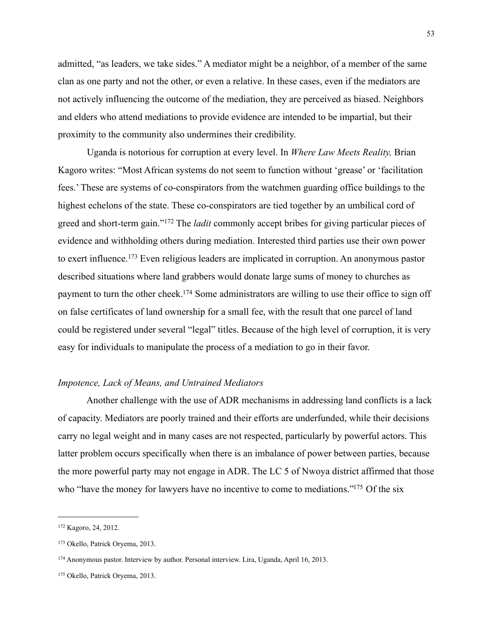admitted, "as leaders, we take sides." A mediator might be a neighbor, of a member of the same clan as one party and not the other, or even a relative. In these cases, even if the mediators are not actively influencing the outcome of the mediation, they are perceived as biased. Neighbors and elders who attend mediations to provide evidence are intended to be impartial, but their proximity to the community also undermines their credibility.

 Uganda is notorious for corruption at every level. In *Where Law Meets Reality,* Brian Kagoro writes: "Most African systems do not seem to function without 'grease' or 'facilitation fees.' These are systems of co-conspirators from the watchmen guarding office buildings to the highest echelons of the state. These co-conspirators are tied together by an umbilical cord of greed and short-term gain."[172](#page-53-0) The *ladit* commonly accept bribes for giving particular pieces of evidence and withholding others during mediation. Interested third parties use their own power to exert influence.[173](#page-53-1) Even religious leaders are implicated in corruption. An anonymous pastor described situations where land grabbers would donate large sums of money to churches as payment to turn the other cheek.<sup>174</sup> Some administrators are willing to use their office to sign off on false certificates of land ownership for a small fee, with the result that one parcel of land could be registered under several "legal" titles. Because of the high level of corruption, it is very easy for individuals to manipulate the process of a mediation to go in their favor.

#### *Impotence, Lack of Means, and Untrained Mediators*

 Another challenge with the use of ADR mechanisms in addressing land conflicts is a lack of capacity. Mediators are poorly trained and their efforts are underfunded, while their decisions carry no legal weight and in many cases are not respected, particularly by powerful actors. This latter problem occurs specifically when there is an imbalance of power between parties, because the more powerful party may not engage in ADR. The LC 5 of Nwoya district affirmed that those who "have the money for lawyers have no incentive to come to mediations."<sup>175</sup> Of the six

<span id="page-53-0"></span><sup>172</sup> Kagoro, 24, 2012.

<span id="page-53-1"></span><sup>173</sup> Okello, Patrick Oryema, 2013.

<span id="page-53-2"></span><sup>174</sup> Anonymous pastor. Interview by author. Personal interview. Lira, Uganda, April 16, 2013.

<span id="page-53-3"></span><sup>175</sup> Okello, Patrick Oryema, 2013.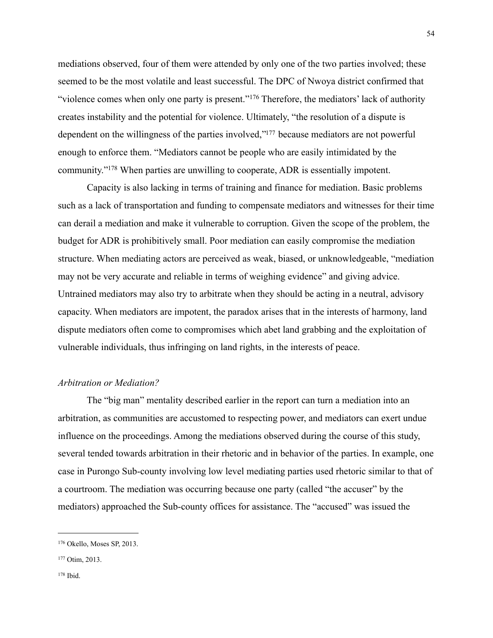mediations observed, four of them were attended by only one of the two parties involved; these seemed to be the most volatile and least successful. The DPC of Nwoya district confirmed that "violence comes when only one party is present."<sup>176</sup> Therefore, the mediators' lack of authority creates instability and the potential for violence. Ultimately, "the resolution of a dispute is dependent on the willingness of the parties involved,["177](#page-54-1) because mediators are not powerful enough to enforce them. "Mediators cannot be people who are easily intimidated by the community.["178](#page-54-2) When parties are unwilling to cooperate, ADR is essentially impotent.

 Capacity is also lacking in terms of training and finance for mediation. Basic problems such as a lack of transportation and funding to compensate mediators and witnesses for their time can derail a mediation and make it vulnerable to corruption. Given the scope of the problem, the budget for ADR is prohibitively small. Poor mediation can easily compromise the mediation structure. When mediating actors are perceived as weak, biased, or unknowledgeable, "mediation may not be very accurate and reliable in terms of weighing evidence" and giving advice. Untrained mediators may also try to arbitrate when they should be acting in a neutral, advisory capacity. When mediators are impotent, the paradox arises that in the interests of harmony, land dispute mediators often come to compromises which abet land grabbing and the exploitation of vulnerable individuals, thus infringing on land rights, in the interests of peace.

#### *Arbitration or Mediation?*

 The "big man" mentality described earlier in the report can turn a mediation into an arbitration, as communities are accustomed to respecting power, and mediators can exert undue influence on the proceedings. Among the mediations observed during the course of this study, several tended towards arbitration in their rhetoric and in behavior of the parties. In example, one case in Purongo Sub-county involving low level mediating parties used rhetoric similar to that of a courtroom. The mediation was occurring because one party (called "the accuser" by the mediators) approached the Sub-county offices for assistance. The "accused" was issued the

<span id="page-54-0"></span><sup>176</sup> Okello, Moses SP, 2013.

<span id="page-54-2"></span><span id="page-54-1"></span><sup>177</sup> Otim, 2013.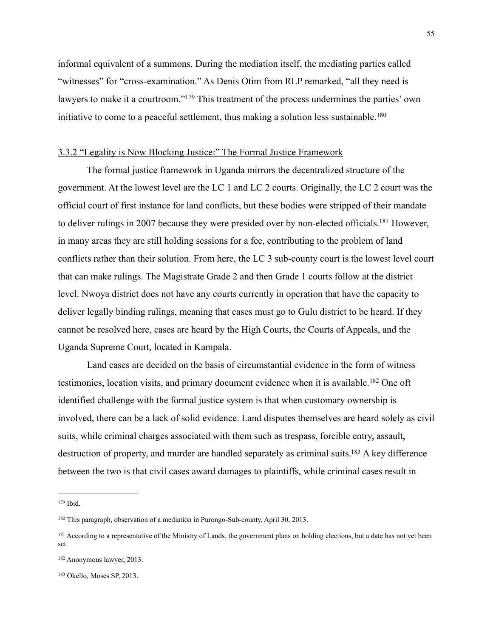informal equivalent of a summons. During the mediation itself, the mediating parties called "witnesses" for "cross-examination." As Denis Otim from RLP remarked, "all they need is lawyers to make it a courtroom."<sup>179</sup> This treatment of the process undermines the parties' own initiative to come to a peaceful settlement, thus making a solution less sustainable.<sup>180</sup>

#### 3.3.2 "Legality is Now Blocking Justice:" The Formal Justice Framework

 The formal justice framework in Uganda mirrors the decentralized structure of the government. At the lowest level are the LC 1 and LC 2 courts. Originally, the LC 2 court was the official court of first instance for land conflicts, but these bodies were stripped of their mandate to deliver rulings in 2007 because they were presided over by non-elected officials[.181](#page-55-2) However, in many areas they are still holding sessions for a fee, contributing to the problem of land conflicts rather than their solution. From here, the LC 3 sub-county court is the lowest level court that can make rulings. The Magistrate Grade 2 and then Grade 1 courts follow at the district level. Nwoya district does not have any courts currently in operation that have the capacity to deliver legally binding rulings, meaning that cases must go to Gulu district to be heard. If they cannot be resolved here, cases are heard by the High Courts, the Courts of Appeals, and the Uganda Supreme Court, located in Kampala.

 Land cases are decided on the basis of circumstantial evidence in the form of witness testimonies, location visits, and primary document evidence when it is available.[182](#page-55-3) One oft identified challenge with the formal justice system is that when customary ownership is involved, there can be a lack of solid evidence. Land disputes themselves are heard solely as civil suits, while criminal charges associated with them such as trespass, forcible entry, assault, destruction of property, and murder are handled separately as criminal suits.<sup>183</sup> A key difference between the two is that civil cases award damages to plaintiffs, while criminal cases result in

<span id="page-55-0"></span><sup>179</sup> Ibid.

<span id="page-55-1"></span><sup>180</sup> This paragraph, observation of a mediation in Purongo-Sub-county, April 30, 2013.

<span id="page-55-2"></span><sup>&</sup>lt;sup>181</sup> According to a representative of the Ministry of Lands, the government plans on holding elections, but a date has not yet been set.

<span id="page-55-3"></span><sup>182</sup> Anonymous lawyer, 2013.

<span id="page-55-4"></span><sup>183</sup> Okello, Moses SP, 2013.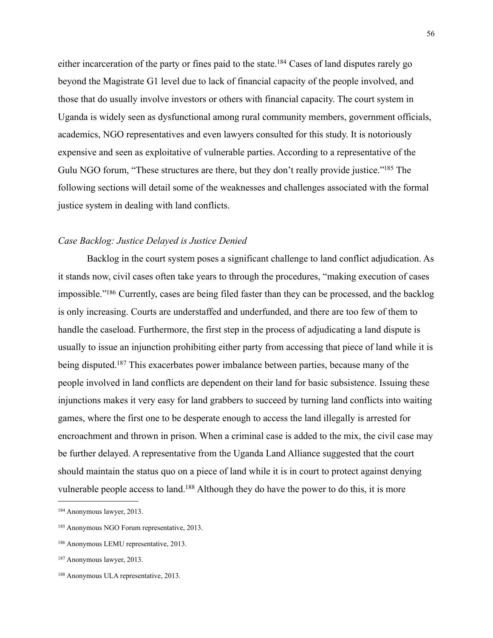either incarceration of the party or fines paid to the state[.184](#page-56-0) Cases of land disputes rarely go beyond the Magistrate G1 level due to lack of financial capacity of the people involved, and those that do usually involve investors or others with financial capacity. The court system in Uganda is widely seen as dysfunctional among rural community members, government officials, academics, NGO representatives and even lawyers consulted for this study. It is notoriously expensive and seen as exploitative of vulnerable parties. According to a representative of the Gulu NGO forum, "These structures are there, but they don't really provide justice."<sup>185</sup> The following sections will detail some of the weaknesses and challenges associated with the formal justice system in dealing with land conflicts.

#### *Case Backlog: Justice Delayed is Justice Denied*

 Backlog in the court system poses a significant challenge to land conflict adjudication. As it stands now, civil cases often take years to through the procedures, "making execution of cases impossible.["186](#page-56-2) Currently, cases are being filed faster than they can be processed, and the backlog is only increasing. Courts are understaffed and underfunded, and there are too few of them to handle the caseload. Furthermore, the first step in the process of adjudicating a land dispute is usually to issue an injunction prohibiting either party from accessing that piece of land while it is being disputed.<sup>187</sup> This exacerbates power imbalance between parties, because many of the people involved in land conflicts are dependent on their land for basic subsistence. Issuing these injunctions makes it very easy for land grabbers to succeed by turning land conflicts into waiting games, where the first one to be desperate enough to access the land illegally is arrested for encroachment and thrown in prison. When a criminal case is added to the mix, the civil case may be further delayed. A representative from the Uganda Land Alliance suggested that the court should maintain the status quo on a piece of land while it is in court to protect against denying vulnerable people access to land[.188](#page-56-4) Although they do have the power to do this, it is more

<span id="page-56-0"></span><sup>184</sup> Anonymous lawyer, 2013.

<span id="page-56-1"></span><sup>185</sup> Anonymous NGO Forum representative, 2013.

<span id="page-56-2"></span><sup>186</sup> Anonymous LEMU representative, 2013.

<span id="page-56-3"></span><sup>187</sup> Anonymous lawyer, 2013.

<span id="page-56-4"></span><sup>188</sup> Anonymous ULA representative, 2013.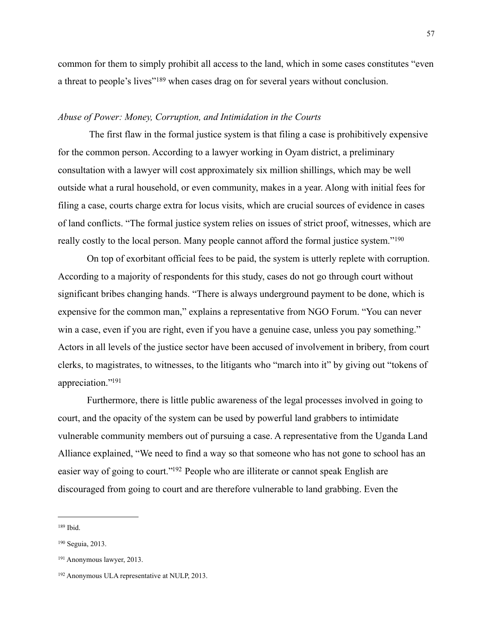common for them to simply prohibit all access to the land, which in some cases constitutes "even a threat to people's lives"[189](#page-57-0) when cases drag on for several years without conclusion.

#### *Abuse of Power: Money, Corruption, and Intimidation in the Courts*

 The first flaw in the formal justice system is that filing a case is prohibitively expensive for the common person. According to a lawyer working in Oyam district, a preliminary consultation with a lawyer will cost approximately six million shillings, which may be well outside what a rural household, or even community, makes in a year. Along with initial fees for filing a case, courts charge extra for locus visits, which are crucial sources of evidence in cases of land conflicts. "The formal justice system relies on issues of strict proof, witnesses, which are really costly to the local person. Many people cannot afford the formal justice system."[190](#page-57-1)

 On top of exorbitant official fees to be paid, the system is utterly replete with corruption. According to a majority of respondents for this study, cases do not go through court without significant bribes changing hands. "There is always underground payment to be done, which is expensive for the common man," explains a representative from NGO Forum. "You can never win a case, even if you are right, even if you have a genuine case, unless you pay something." Actors in all levels of the justice sector have been accused of involvement in bribery, from court clerks, to magistrates, to witnesses, to the litigants who "march into it" by giving out "tokens of appreciation.["191](#page-57-2)

 Furthermore, there is little public awareness of the legal processes involved in going to court, and the opacity of the system can be used by powerful land grabbers to intimidate vulnerable community members out of pursuing a case. A representative from the Uganda Land Alliance explained, "We need to find a way so that someone who has not gone to school has an easier way of going to court.["192](#page-57-3) People who are illiterate or cannot speak English are discouraged from going to court and are therefore vulnerable to land grabbing. Even the

<span id="page-57-0"></span><sup>189</sup> Ibid.

<span id="page-57-1"></span><sup>190</sup> Seguia, 2013.

<span id="page-57-2"></span><sup>191</sup> Anonymous lawyer, 2013.

<span id="page-57-3"></span><sup>192</sup> Anonymous ULA representative at NULP, 2013.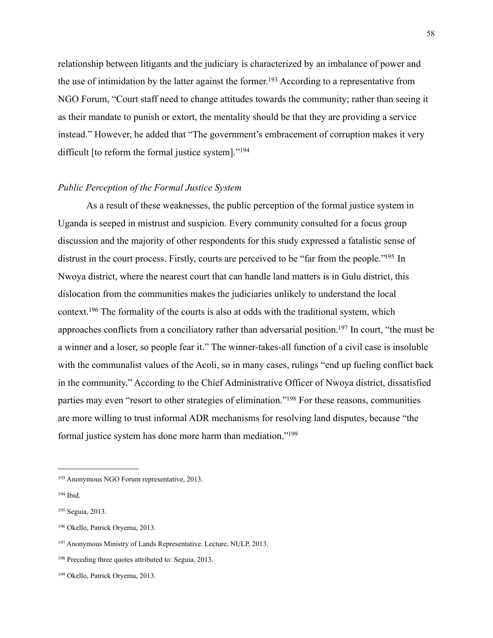relationship between litigants and the judiciary is characterized by an imbalance of power and the use of intimidation by the latter against the former.<sup>193</sup> According to a representative from NGO Forum, "Court staff need to change attitudes towards the community; rather than seeing it as their mandate to punish or extort, the mentality should be that they are providing a service instead." However, he added that "The government's embracement of corruption makes it very difficult [to reform the formal justice system]."<sup>194</sup>

#### *Public Perception of the Formal Justice System*

 As a result of these weaknesses, the public perception of the formal justice system in Uganda is seeped in mistrust and suspicion. Every community consulted for a focus group discussion and the majority of other respondents for this study expressed a fatalistic sense of distrust in the court process. Firstly, courts are perceived to be "far from the people."<sup>195</sup> In Nwoya district, where the nearest court that can handle land matters is in Gulu district, this dislocation from the communities makes the judiciaries unlikely to understand the local context[.196](#page-58-3) The formality of the courts is also at odds with the traditional system, which approaches conflicts from a conciliatory rather than adversarial position[.197](#page-58-4) In court, "the must be a winner and a loser, so people fear it." The winner-takes-all function of a civil case is insoluble with the communalist values of the Acoli, so in many cases, rulings "end up fueling conflict back in the community." According to the Chief Administrative Officer of Nwoya district, dissatisfied parties may even "resort to other strategies of elimination.["198](#page-58-5) For these reasons, communities are more willing to trust informal ADR mechanisms for resolving land disputes, because "the formal justice system has done more harm than mediation.["199](#page-58-6)

<span id="page-58-0"></span><sup>193</sup> Anonymous NGO Forum representative, 2013.

<span id="page-58-1"></span><sup>194</sup> Ibid.

<span id="page-58-2"></span><sup>195</sup> Seguia, 2013.

<span id="page-58-3"></span><sup>196</sup> Okello, Patrick Oryema, 2013.

<span id="page-58-4"></span><sup>197</sup> Anonymous Ministry of Lands Representative. Lecture, NULP, 2013.

<span id="page-58-5"></span><sup>198</sup> Preceding three quotes attributed to: Seguia, 2013.

<span id="page-58-6"></span><sup>199</sup> Okello, Patrick Oryema, 2013.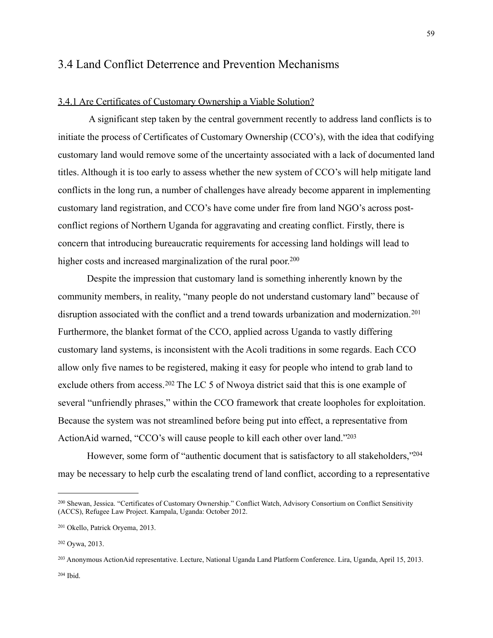### 3.4 Land Conflict Deterrence and Prevention Mechanisms

#### 3.4.1 Are Certificates of Customary Ownership a Viable Solution?

 A significant step taken by the central government recently to address land conflicts is to initiate the process of Certificates of Customary Ownership (CCO's), with the idea that codifying customary land would remove some of the uncertainty associated with a lack of documented land titles. Although it is too early to assess whether the new system of CCO's will help mitigate land conflicts in the long run, a number of challenges have already become apparent in implementing customary land registration, and CCO's have come under fire from land NGO's across postconflict regions of Northern Uganda for aggravating and creating conflict. Firstly, there is concern that introducing bureaucratic requirements for accessing land holdings will lead to higher costs and increased marginalization of the rural poor.<sup>200</sup>

 Despite the impression that customary land is something inherently known by the community members, in reality, "many people do not understand customary land" because of disruption associated with the conflict and a trend towards urbanization and modernization.<sup>[201](#page-59-1)</sup> Furthermore, the blanket format of the CCO, applied across Uganda to vastly differing customary land systems, is inconsistent with the Acoli traditions in some regards. Each CCO allow only five names to be registered, making it easy for people who intend to grab land to exclude others from access.<sup>202</sup> The LC 5 of Nwoya district said that this is one example of several "unfriendly phrases," within the CCO framework that create loopholes for exploitation. Because the system was not streamlined before being put into effect, a representative from ActionAid warned, "CCO's will cause people to kill each other over land.["203](#page-59-3)

However, some form of "authentic document that is satisfactory to all stakeholders,"<sup>204</sup> may be necessary to help curb the escalating trend of land conflict, according to a representative

<span id="page-59-4"></span>204 Ibid.

<span id="page-59-0"></span><sup>200</sup> Shewan, Jessica. "Certificates of Customary Ownership." Conflict Watch, Advisory Consortium on Conflict Sensitivity (ACCS), Refugee Law Project. Kampala, Uganda: October 2012.

<span id="page-59-1"></span><sup>201</sup> Okello, Patrick Oryema, 2013.

<span id="page-59-2"></span><sup>202</sup> Oywa, 2013.

<span id="page-59-3"></span><sup>203</sup> Anonymous ActionAid representative. Lecture, National Uganda Land Platform Conference. Lira, Uganda, April 15, 2013.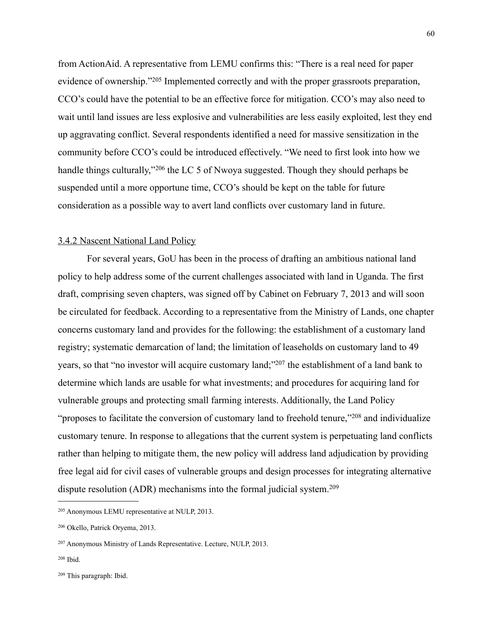from ActionAid. A representative from LEMU confirms this: "There is a real need for paper evidence of ownership."[205](#page-60-0) Implemented correctly and with the proper grassroots preparation, CCO's could have the potential to be an effective force for mitigation. CCO's may also need to wait until land issues are less explosive and vulnerabilities are less easily exploited, lest they end up aggravating conflict. Several respondents identified a need for massive sensitization in the community before CCO's could be introduced effectively. "We need to first look into how we handle things culturally,"<sup>206</sup> the LC 5 of Nwoya suggested. Though they should perhaps be suspended until a more opportune time, CCO's should be kept on the table for future consideration as a possible way to avert land conflicts over customary land in future.

#### 3.4.2 Nascent National Land Policy

 For several years, GoU has been in the process of drafting an ambitious national land policy to help address some of the current challenges associated with land in Uganda. The first draft, comprising seven chapters, was signed off by Cabinet on February 7, 2013 and will soon be circulated for feedback. According to a representative from the Ministry of Lands, one chapter concerns customary land and provides for the following: the establishment of a customary land registry; systematic demarcation of land; the limitation of leaseholds on customary land to 49 years, so that "no investor will acquire customary land;["207](#page-60-2) the establishment of a land bank to determine which lands are usable for what investments; and procedures for acquiring land for vulnerable groups and protecting small farming interests. Additionally, the Land Policy "proposes to facilitate the conversion of customary land to freehold tenure,"<sup>208</sup> and individualize customary tenure. In response to allegations that the current system is perpetuating land conflicts rather than helping to mitigate them, the new policy will address land adjudication by providing free legal aid for civil cases of vulnerable groups and design processes for integrating alternative dispute resolution (ADR) mechanisms into the formal judicial system.[209](#page-60-4)

<span id="page-60-0"></span><sup>205</sup> Anonymous LEMU representative at NULP, 2013.

<span id="page-60-1"></span><sup>206</sup> Okello, Patrick Oryema, 2013.

<span id="page-60-2"></span><sup>207</sup> Anonymous Ministry of Lands Representative. Lecture, NULP, 2013.

<span id="page-60-3"></span><sup>208</sup> Ibid.

<span id="page-60-4"></span><sup>209</sup> This paragraph: Ibid.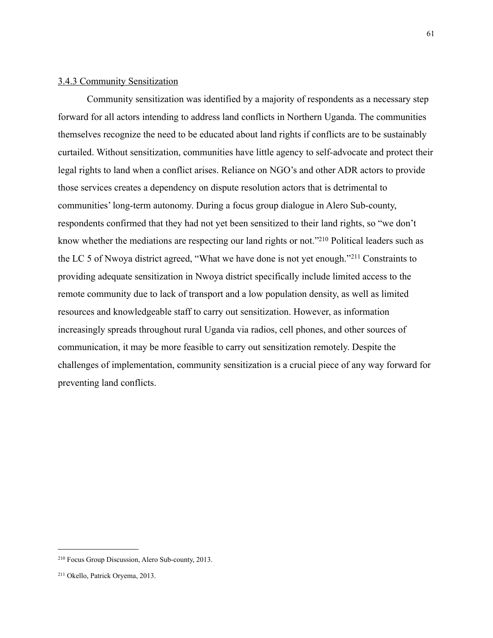#### 3.4.3 Community Sensitization

 Community sensitization was identified by a majority of respondents as a necessary step forward for all actors intending to address land conflicts in Northern Uganda. The communities themselves recognize the need to be educated about land rights if conflicts are to be sustainably curtailed. Without sensitization, communities have little agency to self-advocate and protect their legal rights to land when a conflict arises. Reliance on NGO's and other ADR actors to provide those services creates a dependency on dispute resolution actors that is detrimental to communities' long-term autonomy. During a focus group dialogue in Alero Sub-county, respondents confirmed that they had not yet been sensitized to their land rights, so "we don't know whether the mediations are respecting our land rights or not.["210](#page-61-0) Political leaders such as the LC 5 of Nwoya district agreed, "What we have done is not yet enough."[211](#page-61-1) Constraints to providing adequate sensitization in Nwoya district specifically include limited access to the remote community due to lack of transport and a low population density, as well as limited resources and knowledgeable staff to carry out sensitization. However, as information increasingly spreads throughout rural Uganda via radios, cell phones, and other sources of communication, it may be more feasible to carry out sensitization remotely. Despite the challenges of implementation, community sensitization is a crucial piece of any way forward for preventing land conflicts.

<span id="page-61-0"></span><sup>210</sup> Focus Group Discussion, Alero Sub-county, 2013.

<span id="page-61-1"></span><sup>211</sup> Okello, Patrick Oryema, 2013.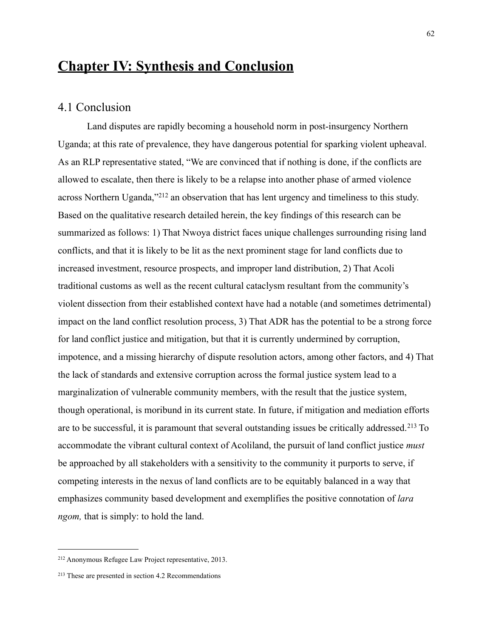# **Chapter IV: Synthesis and Conclusion**

#### 4.1 Conclusion

 Land disputes are rapidly becoming a household norm in post-insurgency Northern Uganda; at this rate of prevalence, they have dangerous potential for sparking violent upheaval. As an RLP representative stated, "We are convinced that if nothing is done, if the conflicts are allowed to escalate, then there is likely to be a relapse into another phase of armed violence across Northern Uganda,"[212](#page-62-0) an observation that has lent urgency and timeliness to this study. Based on the qualitative research detailed herein, the key findings of this research can be summarized as follows: 1) That Nwoya district faces unique challenges surrounding rising land conflicts, and that it is likely to be lit as the next prominent stage for land conflicts due to increased investment, resource prospects, and improper land distribution, 2) That Acoli traditional customs as well as the recent cultural cataclysm resultant from the community's violent dissection from their established context have had a notable (and sometimes detrimental) impact on the land conflict resolution process, 3) That ADR has the potential to be a strong force for land conflict justice and mitigation, but that it is currently undermined by corruption, impotence, and a missing hierarchy of dispute resolution actors, among other factors, and 4) That the lack of standards and extensive corruption across the formal justice system lead to a marginalization of vulnerable community members, with the result that the justice system, though operational, is moribund in its current state. In future, if mitigation and mediation efforts are to be successful, it is paramount that several outstanding issues be critically addressed.[213](#page-62-1) To accommodate the vibrant cultural context of Acoliland, the pursuit of land conflict justice *must* be approached by all stakeholders with a sensitivity to the community it purports to serve, if competing interests in the nexus of land conflicts are to be equitably balanced in a way that emphasizes community based development and exemplifies the positive connotation of *lara ngom,* that is simply: to hold the land.

<span id="page-62-0"></span><sup>212</sup> Anonymous Refugee Law Project representative, 2013.

<span id="page-62-1"></span><sup>213</sup> These are presented in section 4.2 Recommendations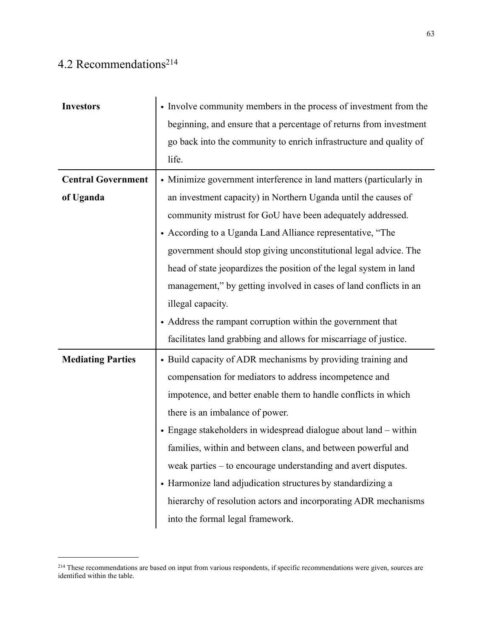# 4.2 Recommendations<sup>214</sup>

| <b>Investors</b>          | • Involve community members in the process of investment from the   |
|---------------------------|---------------------------------------------------------------------|
|                           | beginning, and ensure that a percentage of returns from investment  |
|                           | go back into the community to enrich infrastructure and quality of  |
|                           | life.                                                               |
| <b>Central Government</b> | • Minimize government interference in land matters (particularly in |
| of Uganda                 | an investment capacity) in Northern Uganda until the causes of      |
|                           | community mistrust for GoU have been adequately addressed.          |
|                           | • According to a Uganda Land Alliance representative, "The          |
|                           | government should stop giving unconstitutional legal advice. The    |
|                           | head of state jeopardizes the position of the legal system in land  |
|                           | management," by getting involved in cases of land conflicts in an   |
|                           | illegal capacity.                                                   |
|                           | • Address the rampant corruption within the government that         |
|                           | facilitates land grabbing and allows for miscarriage of justice.    |
| <b>Mediating Parties</b>  | • Build capacity of ADR mechanisms by providing training and        |
|                           | compensation for mediators to address incompetence and              |
|                           | impotence, and better enable them to handle conflicts in which      |
|                           | there is an imbalance of power.                                     |
|                           | • Engage stakeholders in widespread dialogue about land - within    |
|                           | families, within and between clans, and between powerful and        |
|                           | weak parties - to encourage understanding and avert disputes.       |
|                           | • Harmonize land adjudication structures by standardizing a         |
|                           |                                                                     |
|                           | hierarchy of resolution actors and incorporating ADR mechanisms     |

<span id="page-63-0"></span><sup>&</sup>lt;sup>214</sup> These recommendations are based on input from various respondents, if specific recommendations were given, sources are identified within the table.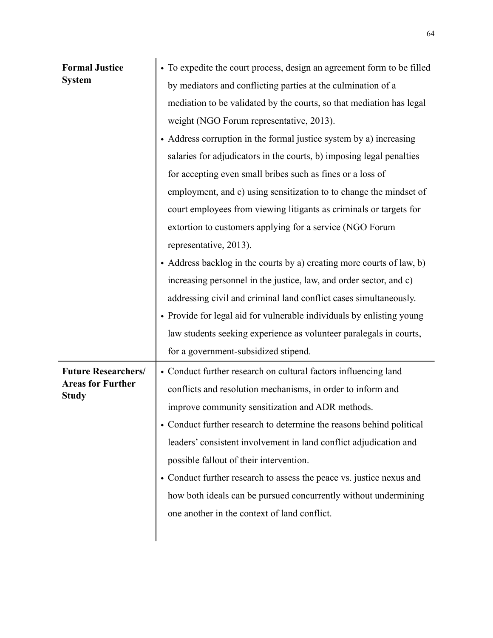| <b>Formal Justice</b><br><b>System</b>                                 | • To expedite the court process, design an agreement form to be filled<br>by mediators and conflicting parties at the culmination of a<br>mediation to be validated by the courts, so that mediation has legal<br>weight (NGO Forum representative, 2013).<br>• Address corruption in the formal justice system by a) increasing<br>salaries for adjudicators in the courts, b) imposing legal penalties<br>for accepting even small bribes such as fines or a loss of<br>employment, and c) using sensitization to to change the mindset of<br>court employees from viewing litigants as criminals or targets for<br>extortion to customers applying for a service (NGO Forum<br>representative, 2013).<br>• Address backlog in the courts by a) creating more courts of law, b)<br>increasing personnel in the justice, law, and order sector, and c)<br>addressing civil and criminal land conflict cases simultaneously.<br>• Provide for legal aid for vulnerable individuals by enlisting young<br>law students seeking experience as volunteer paralegals in courts,<br>for a government-subsidized stipend. |
|------------------------------------------------------------------------|---------------------------------------------------------------------------------------------------------------------------------------------------------------------------------------------------------------------------------------------------------------------------------------------------------------------------------------------------------------------------------------------------------------------------------------------------------------------------------------------------------------------------------------------------------------------------------------------------------------------------------------------------------------------------------------------------------------------------------------------------------------------------------------------------------------------------------------------------------------------------------------------------------------------------------------------------------------------------------------------------------------------------------------------------------------------------------------------------------------------|
| <b>Future Researchers/</b><br><b>Areas for Further</b><br><b>Study</b> | • Conduct further research on cultural factors influencing land<br>conflicts and resolution mechanisms, in order to inform and<br>improve community sensitization and ADR methods.<br>Conduct further research to determine the reasons behind political<br>leaders' consistent involvement in land conflict adjudication and<br>possible fallout of their intervention.<br>• Conduct further research to assess the peace vs. justice nexus and<br>how both ideals can be pursued concurrently without undermining<br>one another in the context of land conflict.                                                                                                                                                                                                                                                                                                                                                                                                                                                                                                                                                 |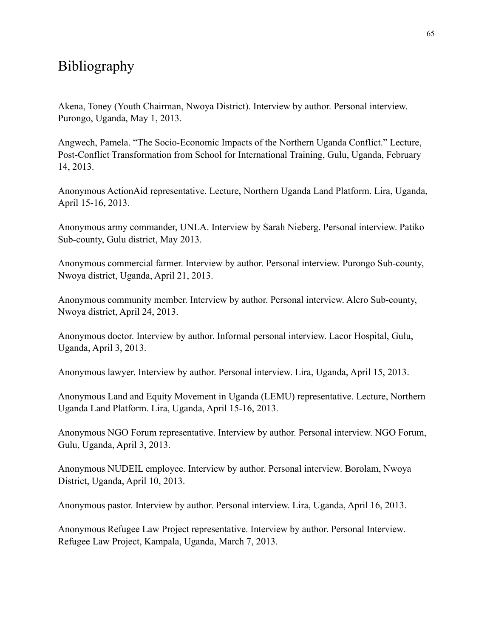# Bibliography

Akena, Toney (Youth Chairman, Nwoya District). Interview by author. Personal interview. Purongo, Uganda, May 1, 2013.

Angwech, Pamela. "The Socio-Economic Impacts of the Northern Uganda Conflict." Lecture, Post-Conflict Transformation from School for International Training, Gulu, Uganda, February 14, 2013.

Anonymous ActionAid representative. Lecture, Northern Uganda Land Platform. Lira, Uganda, April 15-16, 2013.

Anonymous army commander, UNLA. Interview by Sarah Nieberg. Personal interview. Patiko Sub-county, Gulu district, May 2013.

Anonymous commercial farmer. Interview by author. Personal interview. Purongo Sub-county, Nwoya district, Uganda, April 21, 2013.

Anonymous community member. Interview by author. Personal interview. Alero Sub-county, Nwoya district, April 24, 2013.

Anonymous doctor. Interview by author. Informal personal interview. Lacor Hospital, Gulu, Uganda, April 3, 2013.

Anonymous lawyer. Interview by author. Personal interview. Lira, Uganda, April 15, 2013.

Anonymous Land and Equity Movement in Uganda (LEMU) representative. Lecture, Northern Uganda Land Platform. Lira, Uganda, April 15-16, 2013.

Anonymous NGO Forum representative. Interview by author. Personal interview. NGO Forum, Gulu, Uganda, April 3, 2013.

Anonymous NUDEIL employee. Interview by author. Personal interview. Borolam, Nwoya District, Uganda, April 10, 2013.

Anonymous pastor. Interview by author. Personal interview. Lira, Uganda, April 16, 2013.

Anonymous Refugee Law Project representative. Interview by author. Personal Interview. Refugee Law Project, Kampala, Uganda, March 7, 2013.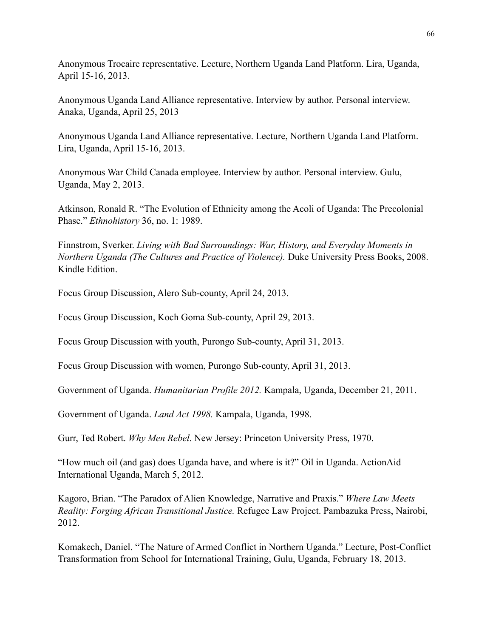Anonymous Trocaire representative. Lecture, Northern Uganda Land Platform. Lira, Uganda, April 15-16, 2013.

Anonymous Uganda Land Alliance representative. Interview by author. Personal interview. Anaka, Uganda, April 25, 2013

Anonymous Uganda Land Alliance representative. Lecture, Northern Uganda Land Platform. Lira, Uganda, April 15-16, 2013.

Anonymous War Child Canada employee. Interview by author. Personal interview. Gulu, Uganda, May 2, 2013.

Atkinson, Ronald R. "The Evolution of Ethnicity among the Acoli of Uganda: The Precolonial Phase." *Ethnohistory* 36, no. 1: 1989.

Finnstrom, Sverker. *Living with Bad Surroundings: War, History, and Everyday Moments in Northern Uganda (The Cultures and Practice of Violence).* Duke University Press Books, 2008. Kindle Edition.

Focus Group Discussion, Alero Sub-county, April 24, 2013.

Focus Group Discussion, Koch Goma Sub-county, April 29, 2013.

Focus Group Discussion with youth, Purongo Sub-county, April 31, 2013.

Focus Group Discussion with women, Purongo Sub-county, April 31, 2013.

Government of Uganda. *Humanitarian Profile 2012.* Kampala, Uganda, December 21, 2011.

Government of Uganda. *Land Act 1998.* Kampala, Uganda, 1998.

Gurr, Ted Robert. *Why Men Rebel*. New Jersey: Princeton University Press, 1970.

"How much oil (and gas) does Uganda have, and where is it?" Oil in Uganda. ActionAid International Uganda, March 5, 2012.

Kagoro, Brian. "The Paradox of Alien Knowledge, Narrative and Praxis." *Where Law Meets Reality: Forging African Transitional Justice.* Refugee Law Project. Pambazuka Press, Nairobi, 2012.

Komakech, Daniel. "The Nature of Armed Conflict in Northern Uganda." Lecture, Post-Conflict Transformation from School for International Training, Gulu, Uganda, February 18, 2013.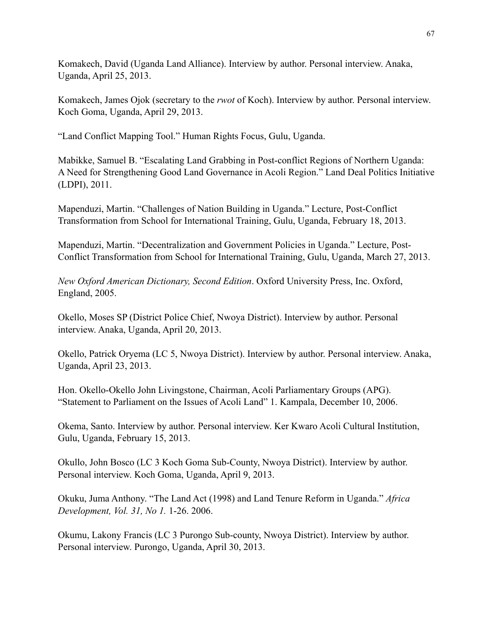Komakech, David (Uganda Land Alliance). Interview by author. Personal interview. Anaka, Uganda, April 25, 2013.

Komakech, James Ojok (secretary to the *rwot* of Koch). Interview by author. Personal interview. Koch Goma, Uganda, April 29, 2013.

"Land Conflict Mapping Tool." Human Rights Focus, Gulu, Uganda.

Mabikke, Samuel B. "Escalating Land Grabbing in Post-conflict Regions of Northern Uganda: A Need for Strengthening Good Land Governance in Acoli Region." Land Deal Politics Initiative (LDPI), 2011.

Mapenduzi, Martin. "Challenges of Nation Building in Uganda." Lecture, Post-Conflict Transformation from School for International Training, Gulu, Uganda, February 18, 2013.

Mapenduzi, Martin. "Decentralization and Government Policies in Uganda." Lecture, Post-Conflict Transformation from School for International Training, Gulu, Uganda, March 27, 2013.

*New Oxford American Dictionary, Second Edition*. Oxford University Press, Inc. Oxford, England, 2005.

Okello, Moses SP (District Police Chief, Nwoya District). Interview by author. Personal interview. Anaka, Uganda, April 20, 2013.

Okello, Patrick Oryema (LC 5, Nwoya District). Interview by author. Personal interview. Anaka, Uganda, April 23, 2013.

Hon. Okello-Okello John Livingstone, Chairman, Acoli Parliamentary Groups (APG). "Statement to Parliament on the Issues of Acoli Land" 1. Kampala, December 10, 2006.

Okema, Santo. Interview by author. Personal interview. Ker Kwaro Acoli Cultural Institution, Gulu, Uganda, February 15, 2013.

Okullo, John Bosco (LC 3 Koch Goma Sub-County, Nwoya District). Interview by author. Personal interview. Koch Goma, Uganda, April 9, 2013.

Okuku, Juma Anthony. "The Land Act (1998) and Land Tenure Reform in Uganda." *Africa Development, Vol. 31, No 1.* 1-26. 2006.

Okumu, Lakony Francis (LC 3 Purongo Sub-county, Nwoya District). Interview by author. Personal interview. Purongo, Uganda, April 30, 2013.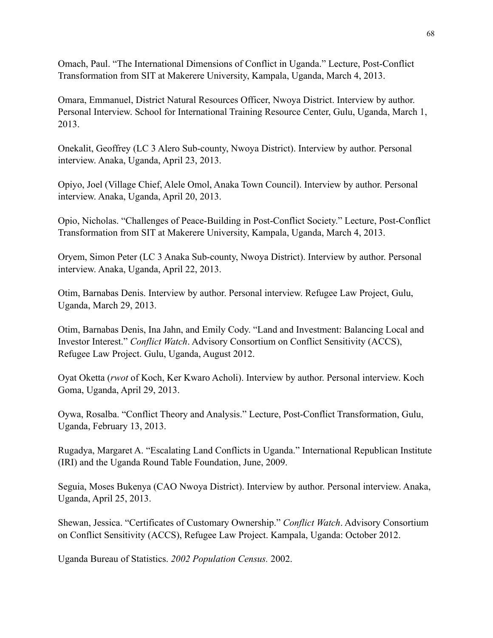Omach, Paul. "The International Dimensions of Conflict in Uganda." Lecture, Post-Conflict Transformation from SIT at Makerere University, Kampala, Uganda, March 4, 2013.

Omara, Emmanuel, District Natural Resources Officer, Nwoya District. Interview by author. Personal Interview. School for International Training Resource Center, Gulu, Uganda, March 1, 2013.

Onekalit, Geoffrey (LC 3 Alero Sub-county, Nwoya District). Interview by author. Personal interview. Anaka, Uganda, April 23, 2013.

Opiyo, Joel (Village Chief, Alele Omol, Anaka Town Council). Interview by author. Personal interview. Anaka, Uganda, April 20, 2013.

Opio, Nicholas. "Challenges of Peace-Building in Post-Conflict Society." Lecture, Post-Conflict Transformation from SIT at Makerere University, Kampala, Uganda, March 4, 2013.

Oryem, Simon Peter (LC 3 Anaka Sub-county, Nwoya District). Interview by author. Personal interview. Anaka, Uganda, April 22, 2013.

Otim, Barnabas Denis. Interview by author. Personal interview. Refugee Law Project, Gulu, Uganda, March 29, 2013.

Otim, Barnabas Denis, Ina Jahn, and Emily Cody. "Land and Investment: Balancing Local and Investor Interest." *Conflict Watch*. Advisory Consortium on Conflict Sensitivity (ACCS), Refugee Law Project. Gulu, Uganda, August 2012.

Oyat Oketta (*rwot* of Koch, Ker Kwaro Acholi). Interview by author. Personal interview. Koch Goma, Uganda, April 29, 2013.

Oywa, Rosalba. "Conflict Theory and Analysis." Lecture, Post-Conflict Transformation, Gulu, Uganda, February 13, 2013.

Rugadya, Margaret A. "Escalating Land Conflicts in Uganda." International Republican Institute (IRI) and the Uganda Round Table Foundation, June, 2009.

Seguia, Moses Bukenya (CAO Nwoya District). Interview by author. Personal interview. Anaka, Uganda, April 25, 2013.

Shewan, Jessica. "Certificates of Customary Ownership." *Conflict Watch*. Advisory Consortium on Conflict Sensitivity (ACCS), Refugee Law Project. Kampala, Uganda: October 2012.

Uganda Bureau of Statistics. *2002 Population Census.* 2002.